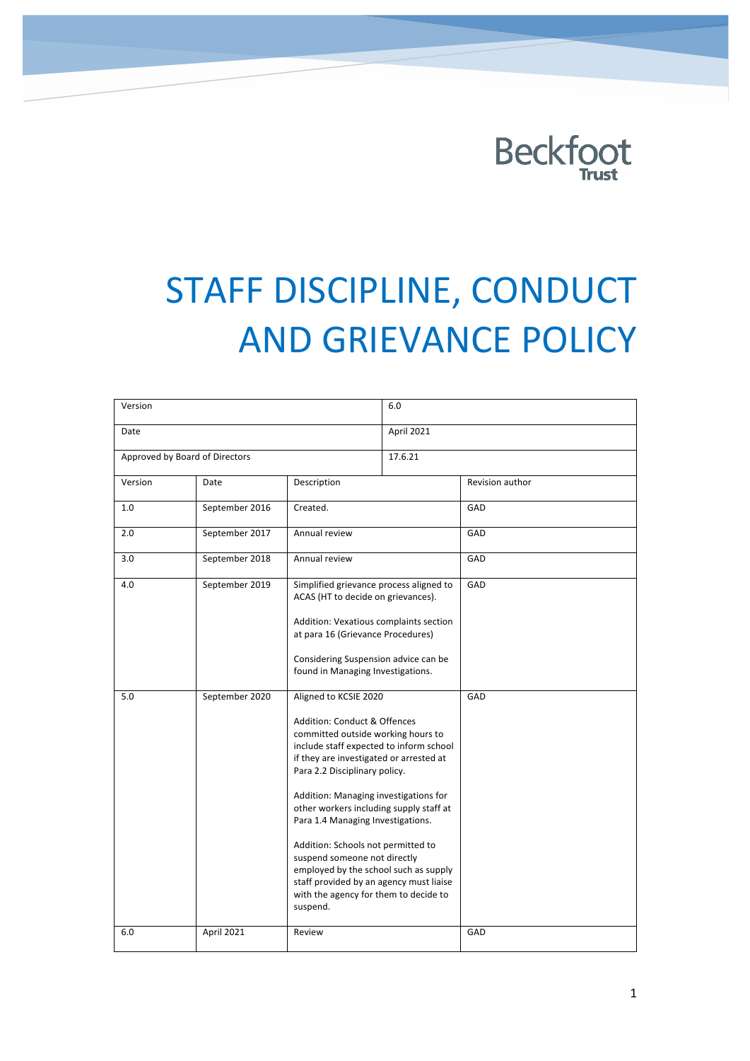

# STAFF DISCIPLINE, CONDUCT **AND GRIEVANCE POLICY**

| Version                        |                |                                                                                                                                                                                                                                                                                                                                                                                                                                                                                                                                                            | 6.0        |                 |
|--------------------------------|----------------|------------------------------------------------------------------------------------------------------------------------------------------------------------------------------------------------------------------------------------------------------------------------------------------------------------------------------------------------------------------------------------------------------------------------------------------------------------------------------------------------------------------------------------------------------------|------------|-----------------|
| Date                           |                |                                                                                                                                                                                                                                                                                                                                                                                                                                                                                                                                                            | April 2021 |                 |
| Approved by Board of Directors |                |                                                                                                                                                                                                                                                                                                                                                                                                                                                                                                                                                            | 17.6.21    |                 |
| Version                        | Date           | Description                                                                                                                                                                                                                                                                                                                                                                                                                                                                                                                                                |            | Revision author |
| 1.0                            | September 2016 | Created.                                                                                                                                                                                                                                                                                                                                                                                                                                                                                                                                                   |            | GAD             |
| 2.0                            | September 2017 | Annual review                                                                                                                                                                                                                                                                                                                                                                                                                                                                                                                                              |            | GAD             |
| 3.0                            | September 2018 | Annual review                                                                                                                                                                                                                                                                                                                                                                                                                                                                                                                                              |            | GAD             |
| 4.0                            | September 2019 | Simplified grievance process aligned to<br>ACAS (HT to decide on grievances).<br>Addition: Vexatious complaints section<br>at para 16 (Grievance Procedures)<br>Considering Suspension advice can be<br>found in Managing Investigations.                                                                                                                                                                                                                                                                                                                  |            | GAD             |
| 5.0                            | September 2020 | Aligned to KCSIE 2020<br>Addition: Conduct & Offences<br>committed outside working hours to<br>include staff expected to inform school<br>if they are investigated or arrested at<br>Para 2.2 Disciplinary policy.<br>Addition: Managing investigations for<br>other workers including supply staff at<br>Para 1.4 Managing Investigations.<br>Addition: Schools not permitted to<br>suspend someone not directly<br>employed by the school such as supply<br>staff provided by an agency must liaise<br>with the agency for them to decide to<br>suspend. |            | GAD             |
| 6.0                            | April 2021     | Review                                                                                                                                                                                                                                                                                                                                                                                                                                                                                                                                                     |            | GAD             |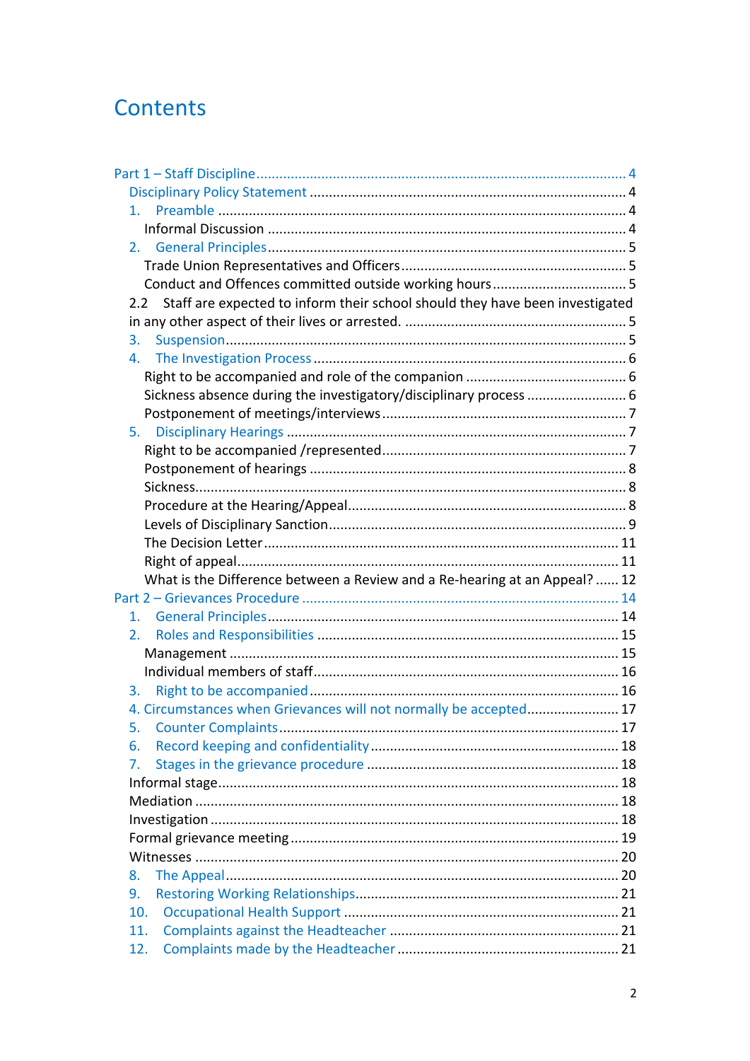# Contents

| 2.                                                                                  |  |
|-------------------------------------------------------------------------------------|--|
|                                                                                     |  |
|                                                                                     |  |
| Staff are expected to inform their school should they have been investigated<br>2.2 |  |
|                                                                                     |  |
| 3.                                                                                  |  |
| 4.                                                                                  |  |
|                                                                                     |  |
|                                                                                     |  |
|                                                                                     |  |
| 5.                                                                                  |  |
|                                                                                     |  |
|                                                                                     |  |
|                                                                                     |  |
|                                                                                     |  |
|                                                                                     |  |
|                                                                                     |  |
|                                                                                     |  |
| What is the Difference between a Review and a Re-hearing at an Appeal?  12          |  |
|                                                                                     |  |
| 1.                                                                                  |  |
| 2.                                                                                  |  |
|                                                                                     |  |
|                                                                                     |  |
| 3.                                                                                  |  |
| 4. Circumstances when Grievances will not normally be accepted 17                   |  |
|                                                                                     |  |
| 6.                                                                                  |  |
| 7.                                                                                  |  |
|                                                                                     |  |
|                                                                                     |  |
|                                                                                     |  |
|                                                                                     |  |
|                                                                                     |  |
| 8.                                                                                  |  |
| 9.                                                                                  |  |
| 10.                                                                                 |  |
| 11.                                                                                 |  |
| 12.                                                                                 |  |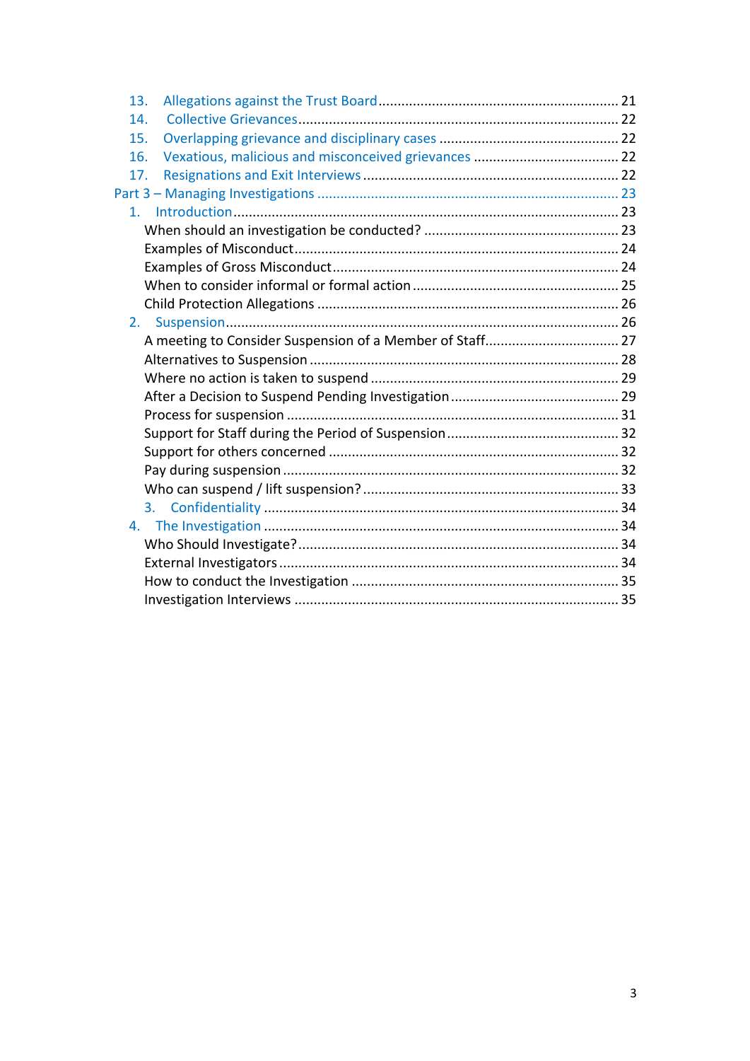| 13.            |  |
|----------------|--|
| 14.            |  |
| 15.            |  |
| 16.            |  |
| 17.            |  |
|                |  |
| 1 <sub>1</sub> |  |
|                |  |
|                |  |
|                |  |
|                |  |
|                |  |
| $2_{\cdot}$    |  |
|                |  |
|                |  |
|                |  |
|                |  |
|                |  |
|                |  |
|                |  |
|                |  |
|                |  |
| 3.             |  |
|                |  |
|                |  |
|                |  |
|                |  |
|                |  |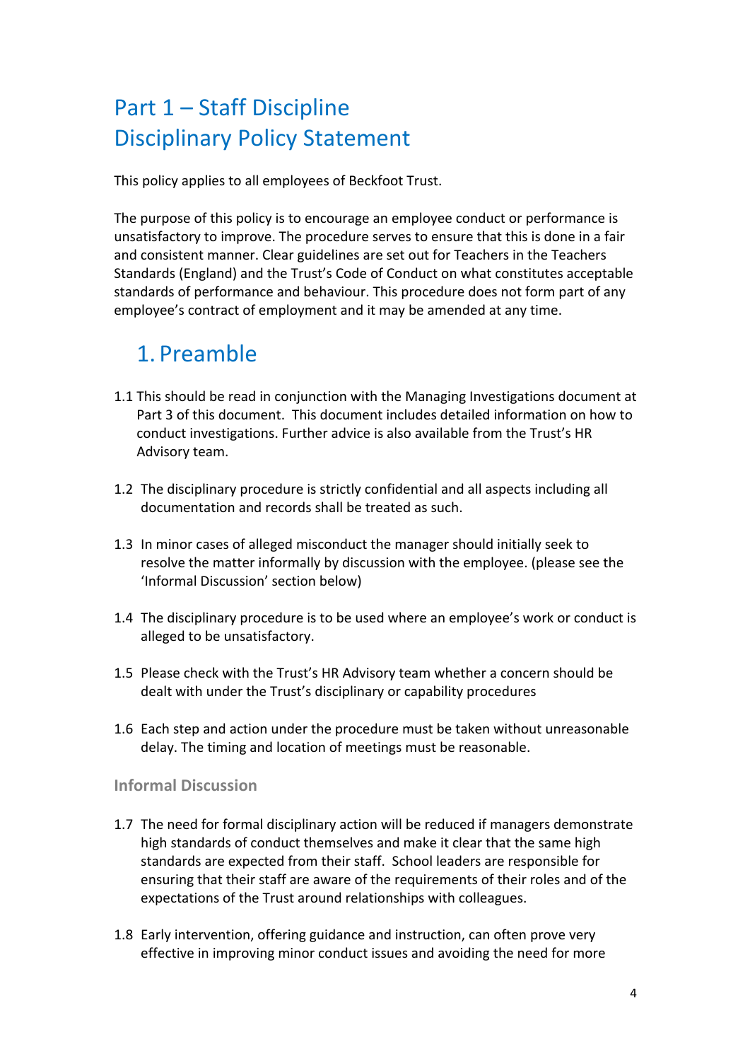# Part 1 – Staff Discipline Disciplinary Policy Statement

This policy applies to all employees of Beckfoot Trust.

The purpose of this policy is to encourage an employee conduct or performance is unsatisfactory to improve. The procedure serves to ensure that this is done in a fair and consistent manner. Clear guidelines are set out for Teachers in the Teachers Standards (England) and the Trust's Code of Conduct on what constitutes acceptable standards of performance and behaviour. This procedure does not form part of any employee's contract of employment and it may be amended at any time.

# 1. Preamble

- 1.1 This should be read in conjunction with the Managing Investigations document at Part 3 of this document. This document includes detailed information on how to conduct investigations. Further advice is also available from the Trust's HR Advisory team.
- 1.2 The disciplinary procedure is strictly confidential and all aspects including all documentation and records shall be treated as such.
- 1.3 In minor cases of alleged misconduct the manager should initially seek to resolve the matter informally by discussion with the employee. (please see the 'Informal Discussion' section below)
- 1.4 The disciplinary procedure is to be used where an employee's work or conduct is alleged to be unsatisfactory.
- 1.5 Please check with the Trust's HR Advisory team whether a concern should be dealt with under the Trust's disciplinary or capability procedures
- 1.6 Each step and action under the procedure must be taken without unreasonable delay. The timing and location of meetings must be reasonable.

### **Informal Discussion**

- 1.7 The need for formal disciplinary action will be reduced if managers demonstrate high standards of conduct themselves and make it clear that the same high standards are expected from their staff. School leaders are responsible for ensuring that their staff are aware of the requirements of their roles and of the expectations of the Trust around relationships with colleagues.
- 1.8 Early intervention, offering guidance and instruction, can often prove very effective in improving minor conduct issues and avoiding the need for more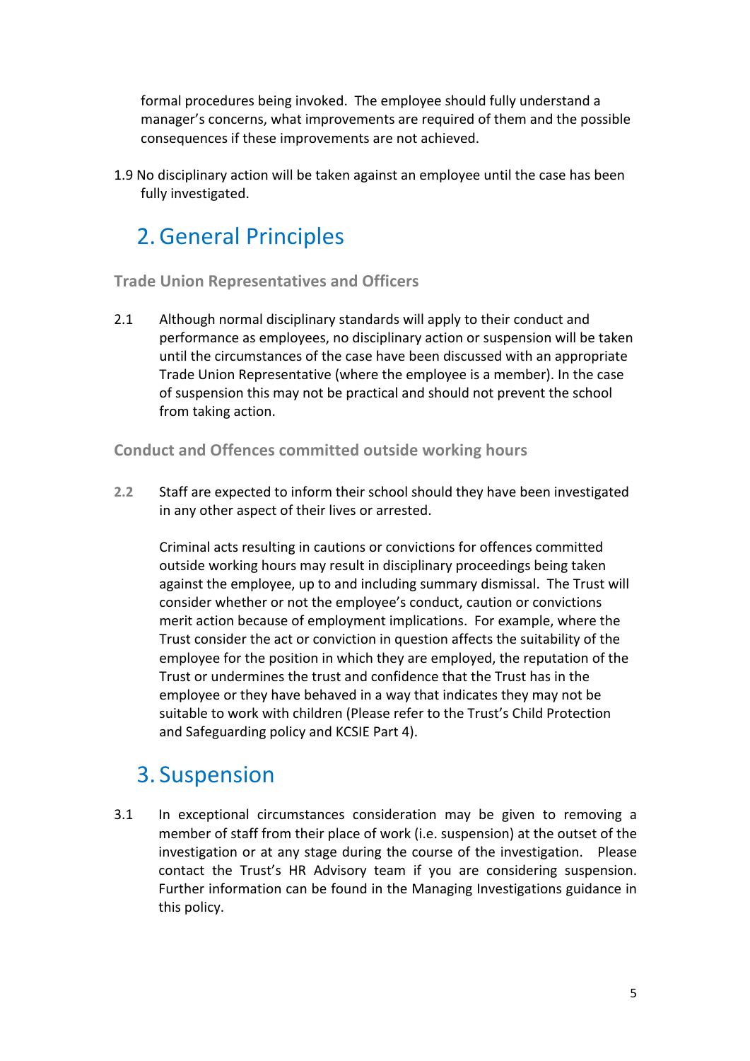formal procedures being invoked. The employee should fully understand a manager's concerns, what improvements are required of them and the possible consequences if these improvements are not achieved.

1.9 No disciplinary action will be taken against an employee until the case has been fully investigated.

# 2. General Principles

### **Trade Union Representatives and Officers**

2.1 Although normal disciplinary standards will apply to their conduct and performance as employees, no disciplinary action or suspension will be taken until the circumstances of the case have been discussed with an appropriate Trade Union Representative (where the employee is a member). In the case of suspension this may not be practical and should not prevent the school from taking action.

### **Conduct and Offences committed outside working hours**

**2.2** Staff are expected to inform their school should they have been investigated in any other aspect of their lives or arrested.

Criminal acts resulting in cautions or convictions for offences committed outside working hours may result in disciplinary proceedings being taken against the employee, up to and including summary dismissal. The Trust will consider whether or not the employee's conduct, caution or convictions merit action because of employment implications. For example, where the Trust consider the act or conviction in question affects the suitability of the employee for the position in which they are employed, the reputation of the Trust or undermines the trust and confidence that the Trust has in the employee or they have behaved in a way that indicates they may not be suitable to work with children (Please refer to the Trust's Child Protection and Safeguarding policy and KCSIE Part 4).

### 3. Suspension

3.1 In exceptional circumstances consideration may be given to removing a member of staff from their place of work (i.e. suspension) at the outset of the investigation or at any stage during the course of the investigation. Please contact the Trust's HR Advisory team if you are considering suspension. Further information can be found in the Managing Investigations guidance in this policy.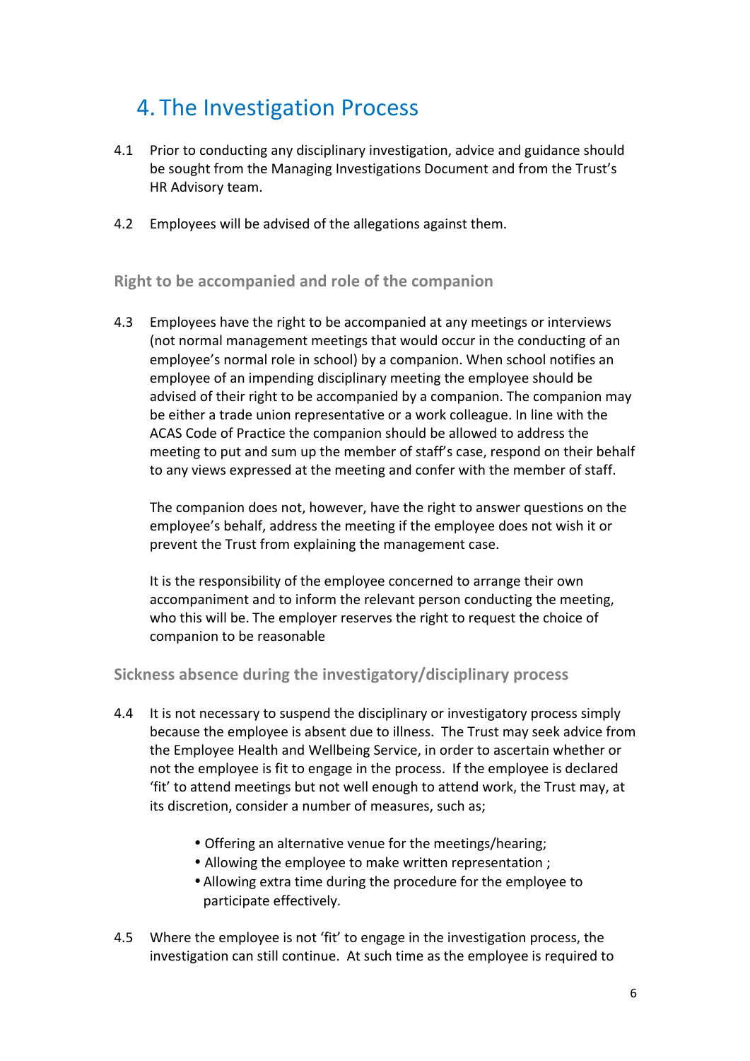### 4. The Investigation Process

- 4.1 Prior to conducting any disciplinary investigation, advice and guidance should be sought from the Managing Investigations Document and from the Trust's HR Advisory team.
- 4.2 Employees will be advised of the allegations against them.

**Right to be accompanied and role of the companion** 

4.3 Employees have the right to be accompanied at any meetings or interviews (not normal management meetings that would occur in the conducting of an employee's normal role in school) by a companion. When school notifies an employee of an impending disciplinary meeting the employee should be advised of their right to be accompanied by a companion. The companion may be either a trade union representative or a work colleague. In line with the ACAS Code of Practice the companion should be allowed to address the meeting to put and sum up the member of staff's case, respond on their behalf to any views expressed at the meeting and confer with the member of staff.

The companion does not, however, have the right to answer questions on the employee's behalf, address the meeting if the employee does not wish it or prevent the Trust from explaining the management case.

It is the responsibility of the employee concerned to arrange their own accompaniment and to inform the relevant person conducting the meeting, who this will be. The employer reserves the right to request the choice of companion to be reasonable

### **Sickness absence during the investigatory/disciplinary process**

- 4.4 It is not necessary to suspend the disciplinary or investigatory process simply because the employee is absent due to illness. The Trust may seek advice from the Employee Health and Wellbeing Service, in order to ascertain whether or not the employee is fit to engage in the process. If the employee is declared 'fit' to attend meetings but not well enough to attend work, the Trust may, at its discretion, consider a number of measures, such as;
	- Offering an alternative venue for the meetings/hearing;
	- Allowing the employee to make written representation ;
	- Allowing extra time during the procedure for the employee to participate effectively.
- 4.5 Where the employee is not 'fit' to engage in the investigation process, the investigation can still continue. At such time as the employee is required to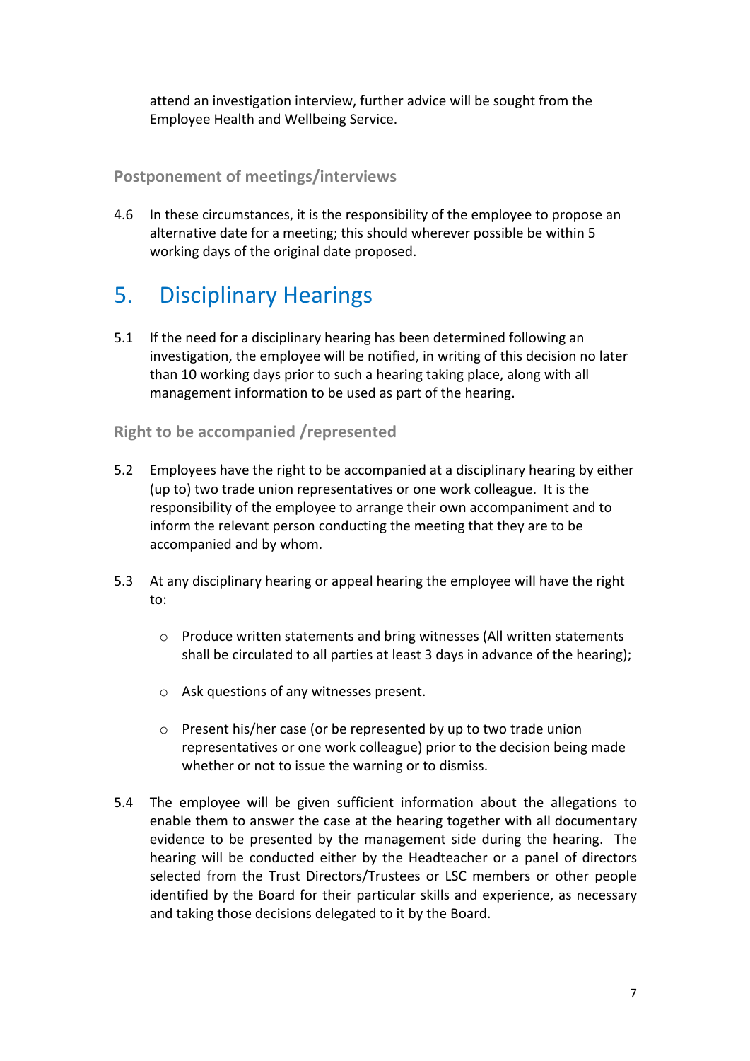attend an investigation interview, further advice will be sought from the Employee Health and Wellbeing Service.

### **Postponement of meetings/interviews**

4.6 In these circumstances, it is the responsibility of the employee to propose an alternative date for a meeting; this should wherever possible be within 5 working days of the original date proposed.

# **5.** Disciplinary Hearings

5.1 If the need for a disciplinary hearing has been determined following an investigation, the employee will be notified, in writing of this decision no later than 10 working days prior to such a hearing taking place, along with all management information to be used as part of the hearing.

### **Right to be accompanied /represented**

- 5.2 Employees have the right to be accompanied at a disciplinary hearing by either (up to) two trade union representatives or one work colleague. It is the responsibility of the employee to arrange their own accompaniment and to inform the relevant person conducting the meeting that they are to be accompanied and by whom.
- 5.3 At any disciplinary hearing or appeal hearing the employee will have the right to:
	- $\circ$  Produce written statements and bring witnesses (All written statements shall be circulated to all parties at least 3 days in advance of the hearing);
	- $\circ$  Ask questions of any witnesses present.
	- $\circ$  Present his/her case (or be represented by up to two trade union representatives or one work colleague) prior to the decision being made whether or not to issue the warning or to dismiss.
- 5.4 The employee will be given sufficient information about the allegations to enable them to answer the case at the hearing together with all documentary evidence to be presented by the management side during the hearing. The hearing will be conducted either by the Headteacher or a panel of directors selected from the Trust Directors/Trustees or LSC members or other people identified by the Board for their particular skills and experience, as necessary and taking those decisions delegated to it by the Board.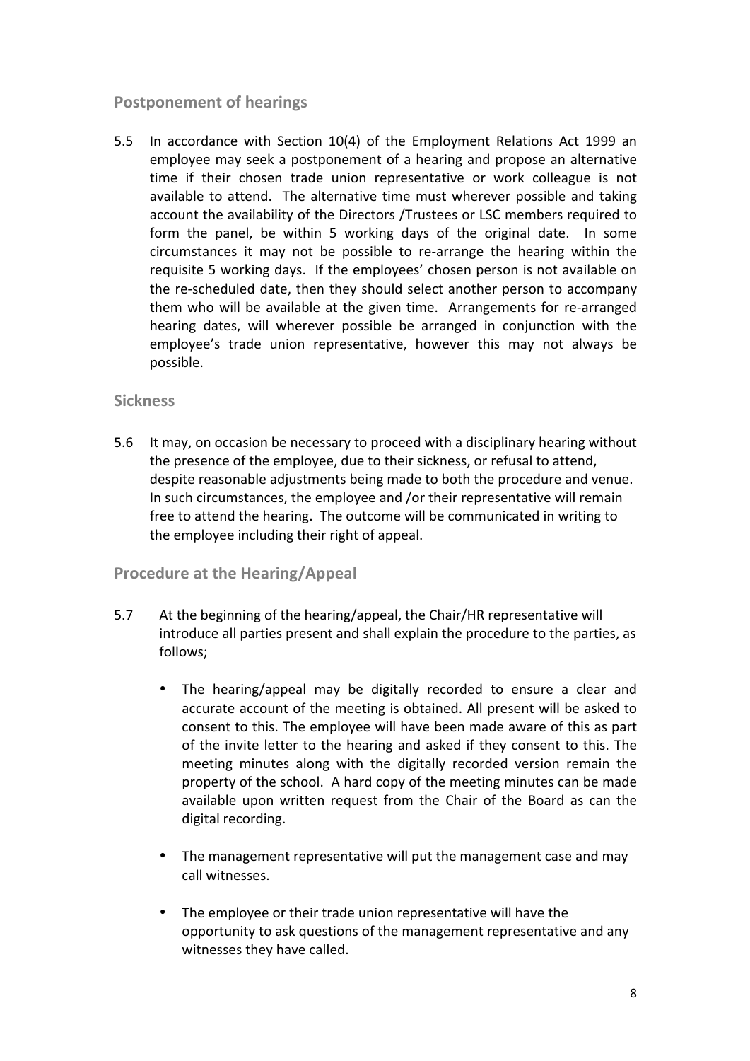### **Postponement of hearings**

5.5 In accordance with Section 10(4) of the Employment Relations Act 1999 an employee may seek a postponement of a hearing and propose an alternative time if their chosen trade union representative or work colleague is not available to attend. The alternative time must wherever possible and taking account the availability of the Directors /Trustees or LSC members required to form the panel, be within 5 working days of the original date. In some circumstances it may not be possible to re-arrange the hearing within the requisite 5 working days. If the employees' chosen person is not available on the re-scheduled date, then they should select another person to accompany them who will be available at the given time. Arrangements for re-arranged hearing dates, will wherever possible be arranged in conjunction with the employee's trade union representative, however this may not always be possible.

### **Sickness**

5.6 It may, on occasion be necessary to proceed with a disciplinary hearing without the presence of the employee, due to their sickness, or refusal to attend, despite reasonable adjustments being made to both the procedure and venue. In such circumstances, the employee and /or their representative will remain free to attend the hearing. The outcome will be communicated in writing to the employee including their right of appeal.

### **Procedure at the Hearing/Appeal**

- 5.7 At the beginning of the hearing/appeal, the Chair/HR representative will introduce all parties present and shall explain the procedure to the parties, as follows;
	- The hearing/appeal may be digitally recorded to ensure a clear and accurate account of the meeting is obtained. All present will be asked to consent to this. The employee will have been made aware of this as part of the invite letter to the hearing and asked if they consent to this. The meeting minutes along with the digitally recorded version remain the property of the school. A hard copy of the meeting minutes can be made available upon written request from the Chair of the Board as can the digital recording.
	- The management representative will put the management case and may call witnesses.
	- The employee or their trade union representative will have the opportunity to ask questions of the management representative and any witnesses they have called.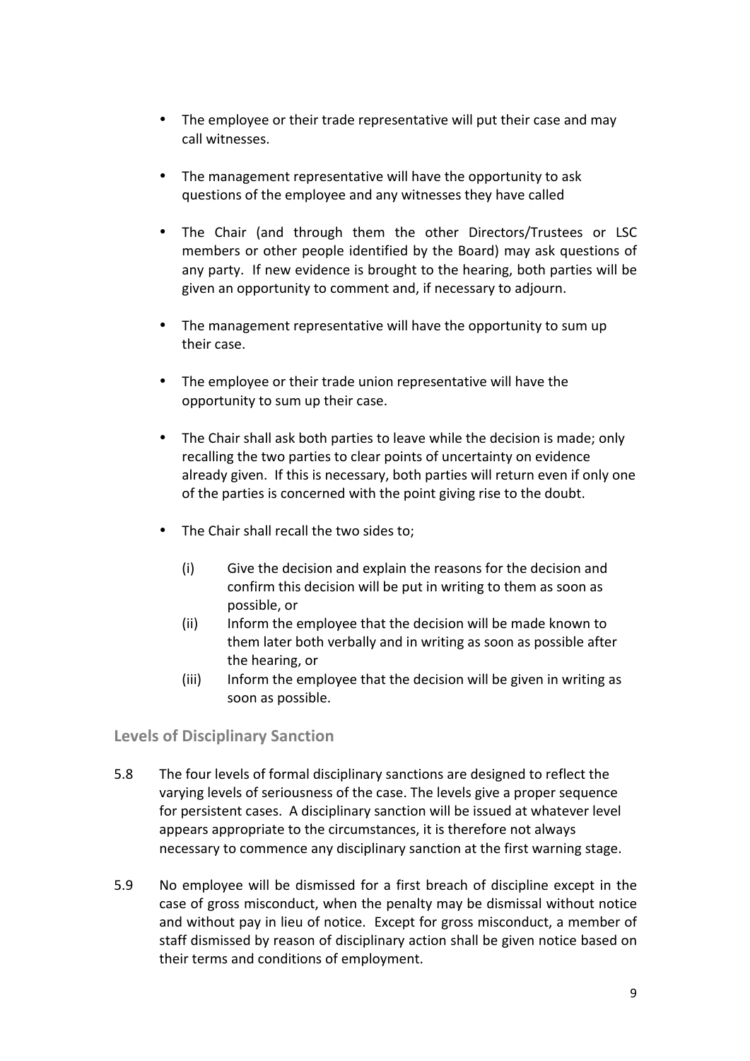- The employee or their trade representative will put their case and may call witnesses.
- The management representative will have the opportunity to ask questions of the employee and any witnesses they have called
- The Chair (and through them the other Directors/Trustees or LSC members or other people identified by the Board) may ask questions of any party. If new evidence is brought to the hearing, both parties will be given an opportunity to comment and, if necessary to adjourn.
- The management representative will have the opportunity to sum up their case.
- The employee or their trade union representative will have the opportunity to sum up their case.
- The Chair shall ask both parties to leave while the decision is made; only recalling the two parties to clear points of uncertainty on evidence already given. If this is necessary, both parties will return even if only one of the parties is concerned with the point giving rise to the doubt.
- The Chair shall recall the two sides to:
	- $(i)$  Give the decision and explain the reasons for the decision and confirm this decision will be put in writing to them as soon as possible, or
	- (ii) Inform the employee that the decision will be made known to them later both verbally and in writing as soon as possible after the hearing, or
	- (iii) Inform the employee that the decision will be given in writing as soon as possible.

**Levels of Disciplinary Sanction**

- 5.8 The four levels of formal disciplinary sanctions are designed to reflect the varying levels of seriousness of the case. The levels give a proper sequence for persistent cases. A disciplinary sanction will be issued at whatever level appears appropriate to the circumstances, it is therefore not always necessary to commence any disciplinary sanction at the first warning stage.
- 5.9 No employee will be dismissed for a first breach of discipline except in the case of gross misconduct, when the penalty may be dismissal without notice and without pay in lieu of notice. Except for gross misconduct, a member of staff dismissed by reason of disciplinary action shall be given notice based on their terms and conditions of employment.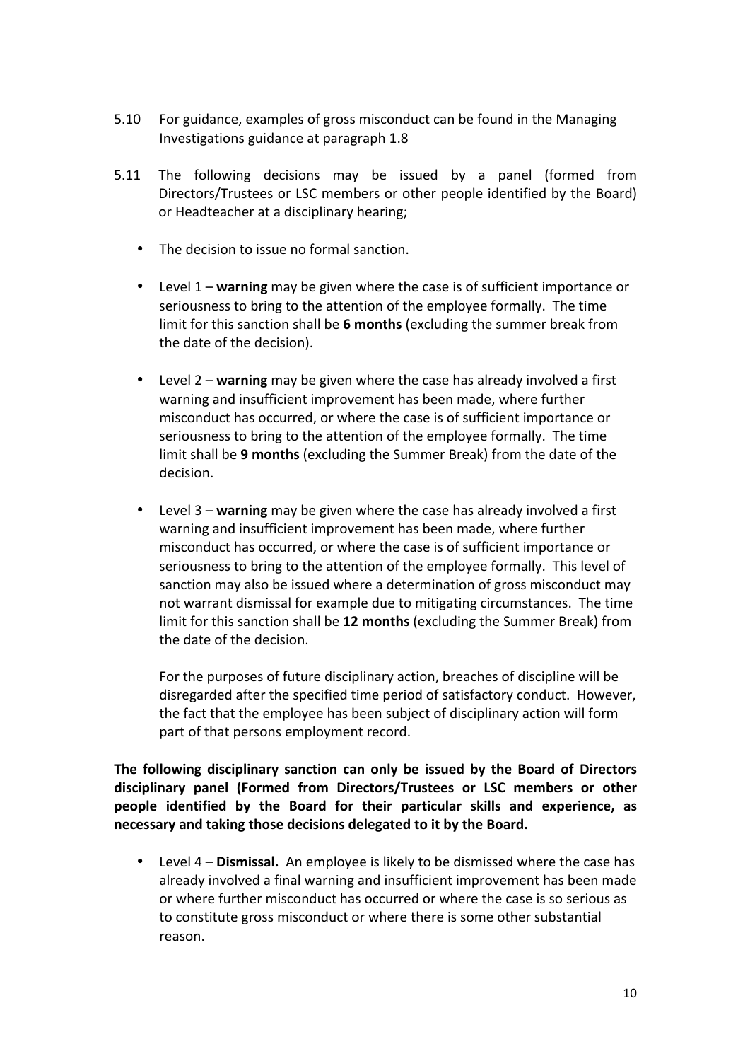- 5.10 For guidance, examples of gross misconduct can be found in the Managing Investigations guidance at paragraph 1.8
- 5.11 The following decisions may be issued by a panel (formed from Directors/Trustees or LSC members or other people identified by the Board) or Headteacher at a disciplinary hearing;
	- The decision to issue no formal sanction.
	- Level 1 warning may be given where the case is of sufficient importance or seriousness to bring to the attention of the employee formally. The time limit for this sanction shall be 6 months (excluding the summer break from the date of the decision).
	- Level 2 warning may be given where the case has already involved a first warning and insufficient improvement has been made, where further misconduct has occurred, or where the case is of sufficient importance or seriousness to bring to the attention of the employee formally. The time limit shall be 9 months (excluding the Summer Break) from the date of the decision.
	- Level 3 warning may be given where the case has already involved a first warning and insufficient improvement has been made, where further misconduct has occurred, or where the case is of sufficient importance or seriousness to bring to the attention of the employee formally. This level of sanction may also be issued where a determination of gross misconduct may not warrant dismissal for example due to mitigating circumstances. The time limit for this sanction shall be 12 months (excluding the Summer Break) from the date of the decision.

For the purposes of future disciplinary action, breaches of discipline will be disregarded after the specified time period of satisfactory conduct. However, the fact that the employee has been subject of disciplinary action will form part of that persons employment record.

The following disciplinary sanction can only be issued by the Board of Directors **disciplinary panel (Formed from Directors/Trustees or LSC members or other**  people identified by the Board for their particular skills and experience, as necessary and taking those decisions delegated to it by the Board.

• Level 4 – **Dismissal.** An employee is likely to be dismissed where the case has already involved a final warning and insufficient improvement has been made or where further misconduct has occurred or where the case is so serious as to constitute gross misconduct or where there is some other substantial reason.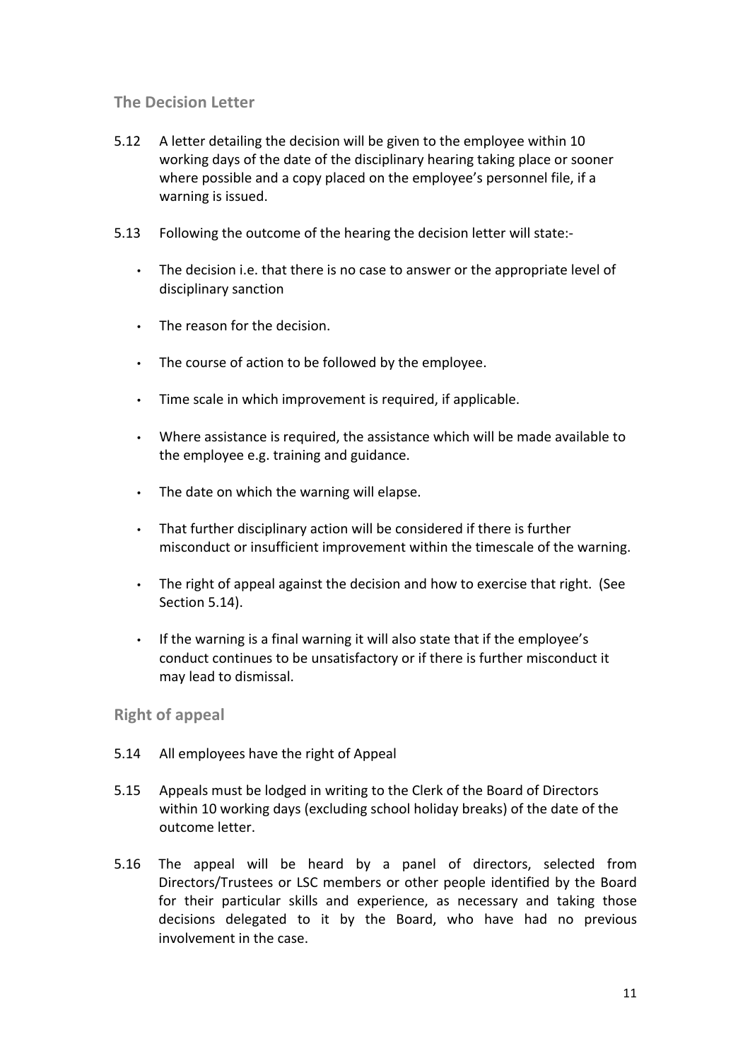### **The Decision Letter**

- 5.12 A letter detailing the decision will be given to the employee within 10 working days of the date of the disciplinary hearing taking place or sooner where possible and a copy placed on the employee's personnel file, if a warning is issued.
- 5.13 Following the outcome of the hearing the decision letter will state:-
	- The decision i.e. that there is no case to answer or the appropriate level of disciplinary sanction
	- $\cdot$  The reason for the decision.
	- The course of action to be followed by the employee.
	- $\cdot$  Time scale in which improvement is required, if applicable.
	- Where assistance is required, the assistance which will be made available to the employee e.g. training and guidance.
	- $\cdot$  The date on which the warning will elapse.
	- That further disciplinary action will be considered if there is further misconduct or insufficient improvement within the timescale of the warning.
	- The right of appeal against the decision and how to exercise that right. (See Section 5.14).
	- If the warning is a final warning it will also state that if the employee's conduct continues to be unsatisfactory or if there is further misconduct it may lead to dismissal.

#### **Right of appeal**

- 5.14 All employees have the right of Appeal
- 5.15 Appeals must be lodged in writing to the Clerk of the Board of Directors within 10 working days (excluding school holiday breaks) of the date of the outcome letter.
- 5.16 The appeal will be heard by a panel of directors, selected from Directors/Trustees or LSC members or other people identified by the Board for their particular skills and experience, as necessary and taking those decisions delegated to it by the Board, who have had no previous involvement in the case.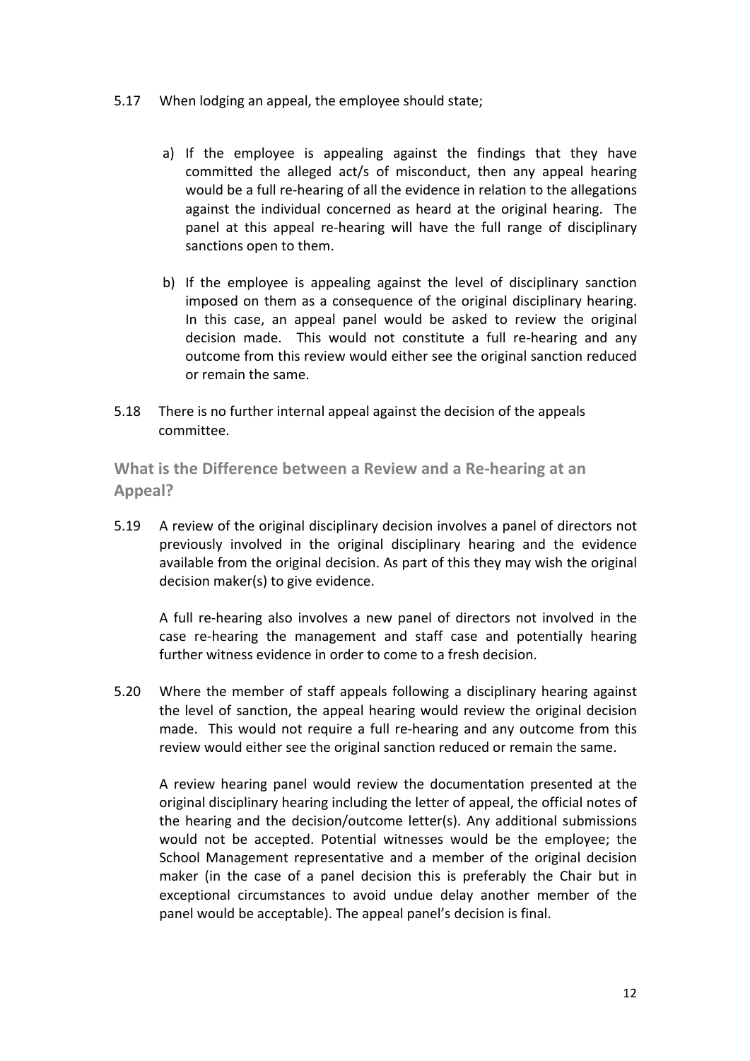- 5.17 When lodging an appeal, the employee should state;
	- a) If the employee is appealing against the findings that they have committed the alleged act/s of misconduct, then any appeal hearing would be a full re-hearing of all the evidence in relation to the allegations against the individual concerned as heard at the original hearing. The panel at this appeal re-hearing will have the full range of disciplinary sanctions open to them.
	- b) If the employee is appealing against the level of disciplinary sanction imposed on them as a consequence of the original disciplinary hearing. In this case, an appeal panel would be asked to review the original decision made. This would not constitute a full re-hearing and any outcome from this review would either see the original sanction reduced or remain the same.
- 5.18 There is no further internal appeal against the decision of the appeals committee.

**What is the Difference between a Review and a Re-hearing at an Appeal?**

5.19 A review of the original disciplinary decision involves a panel of directors not previously involved in the original disciplinary hearing and the evidence available from the original decision. As part of this they may wish the original decision maker(s) to give evidence.

A full re-hearing also involves a new panel of directors not involved in the case re-hearing the management and staff case and potentially hearing further witness evidence in order to come to a fresh decision.

5.20 Where the member of staff appeals following a disciplinary hearing against the level of sanction, the appeal hearing would review the original decision made. This would not require a full re-hearing and any outcome from this review would either see the original sanction reduced or remain the same.

A review hearing panel would review the documentation presented at the original disciplinary hearing including the letter of appeal, the official notes of the hearing and the decision/outcome letter(s). Any additional submissions would not be accepted. Potential witnesses would be the employee; the School Management representative and a member of the original decision maker (in the case of a panel decision this is preferably the Chair but in exceptional circumstances to avoid undue delay another member of the panel would be acceptable). The appeal panel's decision is final.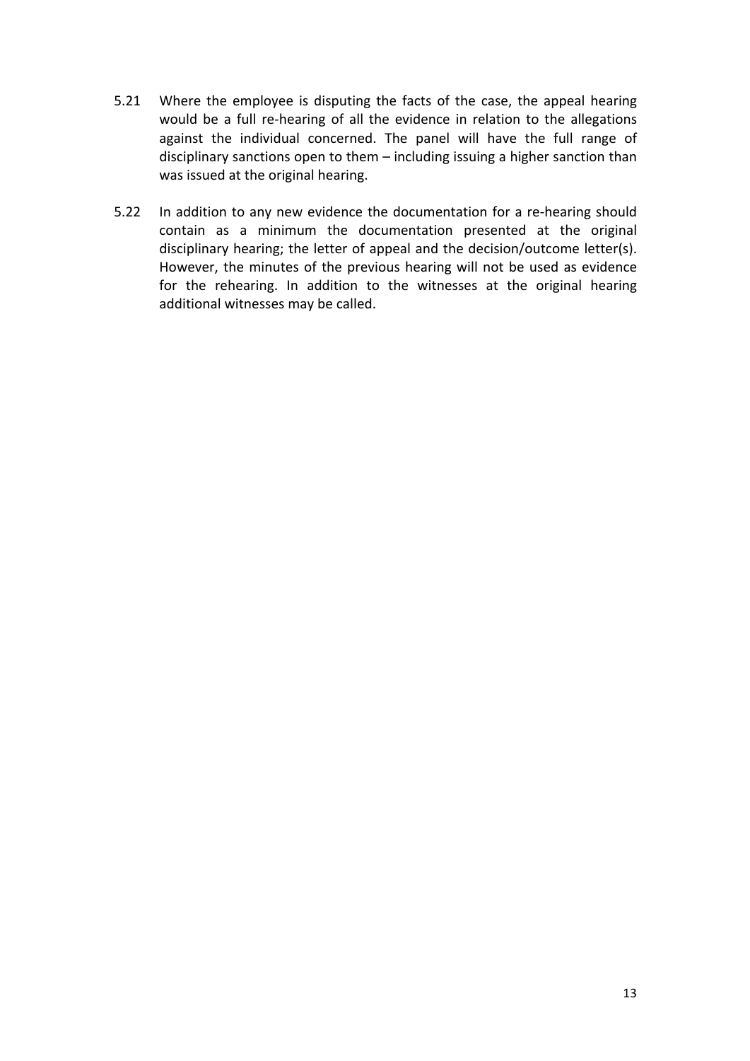- 5.21 Where the employee is disputing the facts of the case, the appeal hearing would be a full re-hearing of all the evidence in relation to the allegations against the individual concerned. The panel will have the full range of disciplinary sanctions open to them – including issuing a higher sanction than was issued at the original hearing.
- 5.22 In addition to any new evidence the documentation for a re-hearing should contain as a minimum the documentation presented at the original disciplinary hearing; the letter of appeal and the decision/outcome letter(s). However, the minutes of the previous hearing will not be used as evidence for the rehearing. In addition to the witnesses at the original hearing additional witnesses may be called.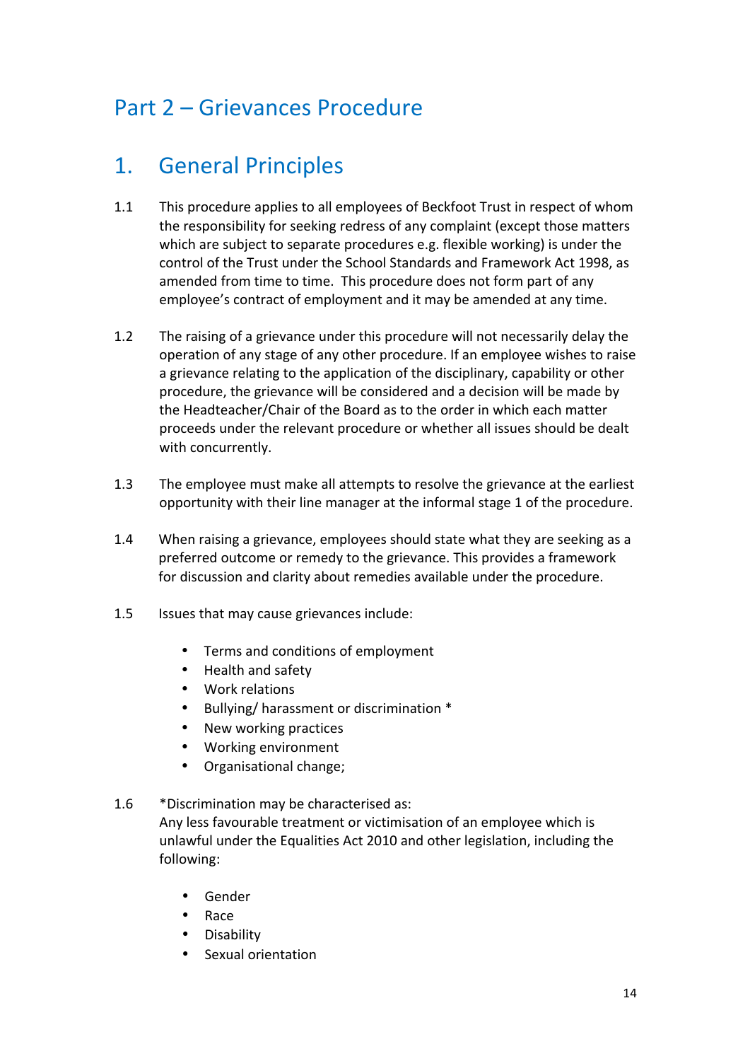### Part 2 – Grievances Procedure

# 1. General Principles

- 1.1 This procedure applies to all employees of Beckfoot Trust in respect of whom the responsibility for seeking redress of any complaint (except those matters which are subject to separate procedures e.g. flexible working) is under the control of the Trust under the School Standards and Framework Act 1998, as amended from time to time. This procedure does not form part of any employee's contract of employment and it may be amended at any time.
- 1.2 The raising of a grievance under this procedure will not necessarily delay the operation of any stage of any other procedure. If an employee wishes to raise a grievance relating to the application of the disciplinary, capability or other procedure, the grievance will be considered and a decision will be made by the Headteacher/Chair of the Board as to the order in which each matter proceeds under the relevant procedure or whether all issues should be dealt with concurrently.
- 1.3 The employee must make all attempts to resolve the grievance at the earliest opportunity with their line manager at the informal stage 1 of the procedure.
- 1.4 When raising a grievance, employees should state what they are seeking as a preferred outcome or remedy to the grievance. This provides a framework for discussion and clarity about remedies available under the procedure.
- 1.5 Issues that may cause grievances include:
	- Terms and conditions of employment
	- Health and safety
	- Work relations
	- Bullying/ harassment or discrimination \*
	- New working practices
	- Working environment
	- Organisational change:
- 1.6 \* Discrimination may be characterised as: Any less favourable treatment or victimisation of an employee which is unlawful under the Equalities Act 2010 and other legislation, including the following:
	- Gender
	- Race
	- Disability
	- Sexual orientation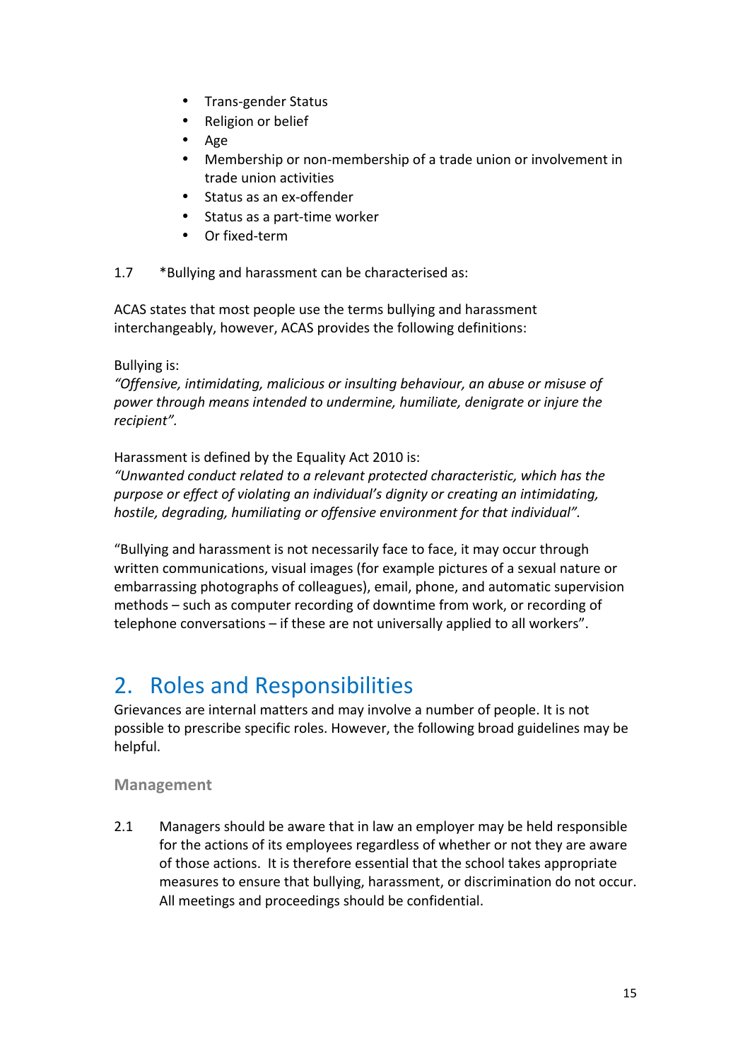- Trans-gender Status
- Religion or belief
- Age
- Membership or non-membership of a trade union or involvement in trade union activities
- Status as an ex-offender
- $\bullet$  Status as a part-time worker
- Or fixed-term

1.7 \*Bullying and harassment can be characterised as:

ACAS states that most people use the terms bullying and harassment interchangeably, however, ACAS provides the following definitions:

### Bullying is:

"Offensive, intimidating, malicious or insulting behaviour, an abuse or misuse of power through means intended to undermine, humiliate, denigrate or injure the *recipient".*

Harassment is defined by the Equality Act 2010 is:

*"Unwanted conduct related to a relevant protected characteristic, which has the*  purpose or effect of violating an individual's dignity or creating an intimidating, *hostile, degrading, humiliating or offensive environment for that individual".* 

"Bullying and harassment is not necessarily face to face, it may occur through written communications, visual images (for example pictures of a sexual nature or embarrassing photographs of colleagues), email, phone, and automatic supervision methods – such as computer recording of downtime from work, or recording of telephone conversations  $-$  if these are not universally applied to all workers".

# 2. Roles and Responsibilities

Grievances are internal matters and may involve a number of people. It is not possible to prescribe specific roles. However, the following broad guidelines may be helpful.

### **Management**

2.1 Managers should be aware that in law an employer may be held responsible for the actions of its employees regardless of whether or not they are aware of those actions. It is therefore essential that the school takes appropriate measures to ensure that bullying, harassment, or discrimination do not occur. All meetings and proceedings should be confidential.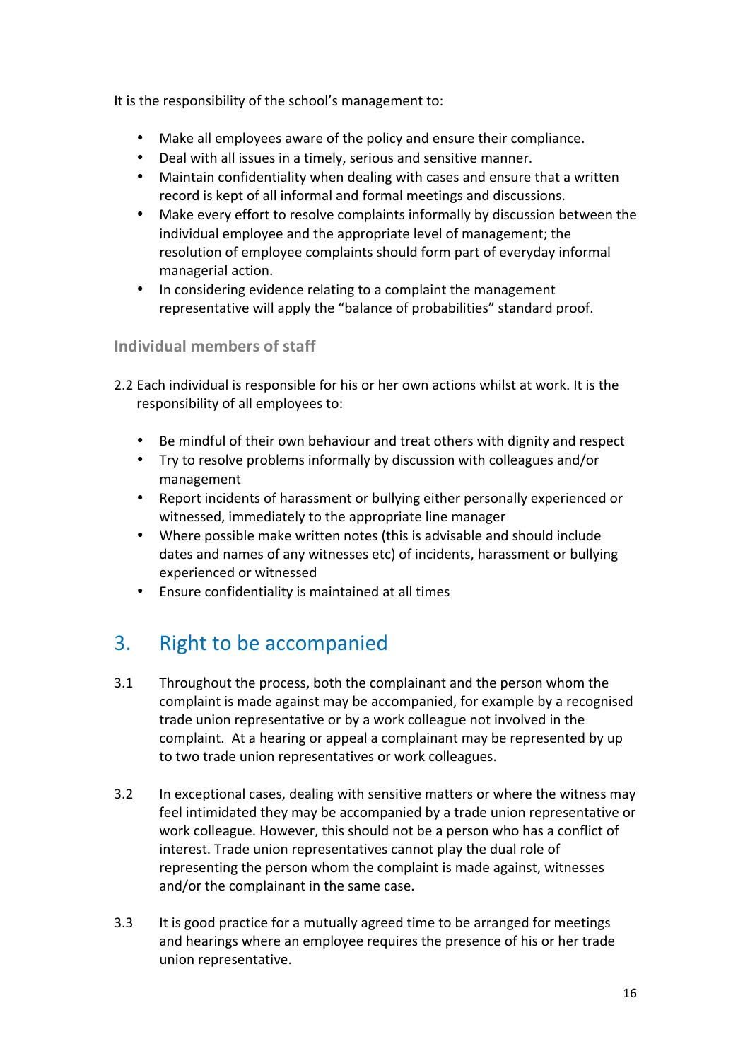It is the responsibility of the school's management to:

- Make all employees aware of the policy and ensure their compliance.
- Deal with all issues in a timely, serious and sensitive manner.
- Maintain confidentiality when dealing with cases and ensure that a written record is kept of all informal and formal meetings and discussions.
- Make every effort to resolve complaints informally by discussion between the individual employee and the appropriate level of management; the resolution of employee complaints should form part of everyday informal managerial action.
- In considering evidence relating to a complaint the management representative will apply the "balance of probabilities" standard proof.

### **Individual members of staff**

- 2.2 Each individual is responsible for his or her own actions whilst at work. It is the responsibility of all employees to:
	- Be mindful of their own behaviour and treat others with dignity and respect
	- Try to resolve problems informally by discussion with colleagues and/or management
	- Report incidents of harassment or bullying either personally experienced or witnessed, immediately to the appropriate line manager
	- Where possible make written notes (this is advisable and should include dates and names of any witnesses etc) of incidents, harassment or bullying experienced or witnessed
	- Ensure confidentiality is maintained at all times

### 3. Right to be accompanied

- 3.1 Throughout the process, both the complainant and the person whom the complaint is made against may be accompanied, for example by a recognised trade union representative or by a work colleague not involved in the complaint. At a hearing or appeal a complainant may be represented by up to two trade union representatives or work colleagues.
- 3.2 In exceptional cases, dealing with sensitive matters or where the witness may feel intimidated they may be accompanied by a trade union representative or work colleague. However, this should not be a person who has a conflict of interest. Trade union representatives cannot play the dual role of representing the person whom the complaint is made against, witnesses and/or the complainant in the same case.
- 3.3 It is good practice for a mutually agreed time to be arranged for meetings and hearings where an employee requires the presence of his or her trade union representative.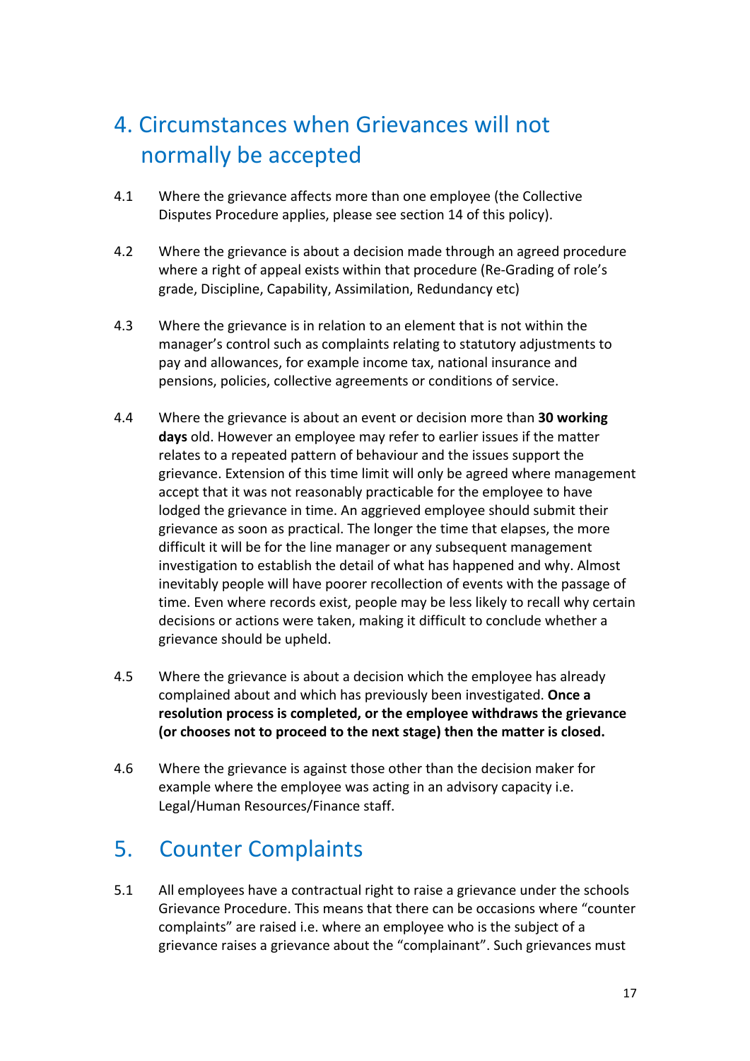# 4. Circumstances when Grievances will not normally be accepted

- 4.1 Where the grievance affects more than one employee (the Collective Disputes Procedure applies, please see section 14 of this policy).
- 4.2 Where the grievance is about a decision made through an agreed procedure where a right of appeal exists within that procedure (Re-Grading of role's grade, Discipline, Capability, Assimilation, Redundancy etc)
- 4.3 Where the grievance is in relation to an element that is not within the manager's control such as complaints relating to statutory adjustments to pay and allowances, for example income tax, national insurance and pensions, policies, collective agreements or conditions of service.
- 4.4 Where the grievance is about an event or decision more than 30 working **days** old. However an employee may refer to earlier issues if the matter relates to a repeated pattern of behaviour and the issues support the grievance. Extension of this time limit will only be agreed where management accept that it was not reasonably practicable for the employee to have lodged the grievance in time. An aggrieved employee should submit their grievance as soon as practical. The longer the time that elapses, the more difficult it will be for the line manager or any subsequent management investigation to establish the detail of what has happened and why. Almost inevitably people will have poorer recollection of events with the passage of time. Even where records exist, people may be less likely to recall why certain decisions or actions were taken, making it difficult to conclude whether a grievance should be upheld.
- 4.5 Where the grievance is about a decision which the employee has already complained about and which has previously been investigated. Once a resolution process is completed, or the employee withdraws the grievance (or chooses not to proceed to the next stage) then the matter is closed.
- 4.6 Where the grievance is against those other than the decision maker for example where the employee was acting in an advisory capacity i.e. Legal/Human Resources/Finance staff.

# 5. Counter Complaints

5.1 All employees have a contractual right to raise a grievance under the schools Grievance Procedure. This means that there can be occasions where "counter" complaints" are raised i.e. where an employee who is the subject of a grievance raises a grievance about the "complainant". Such grievances must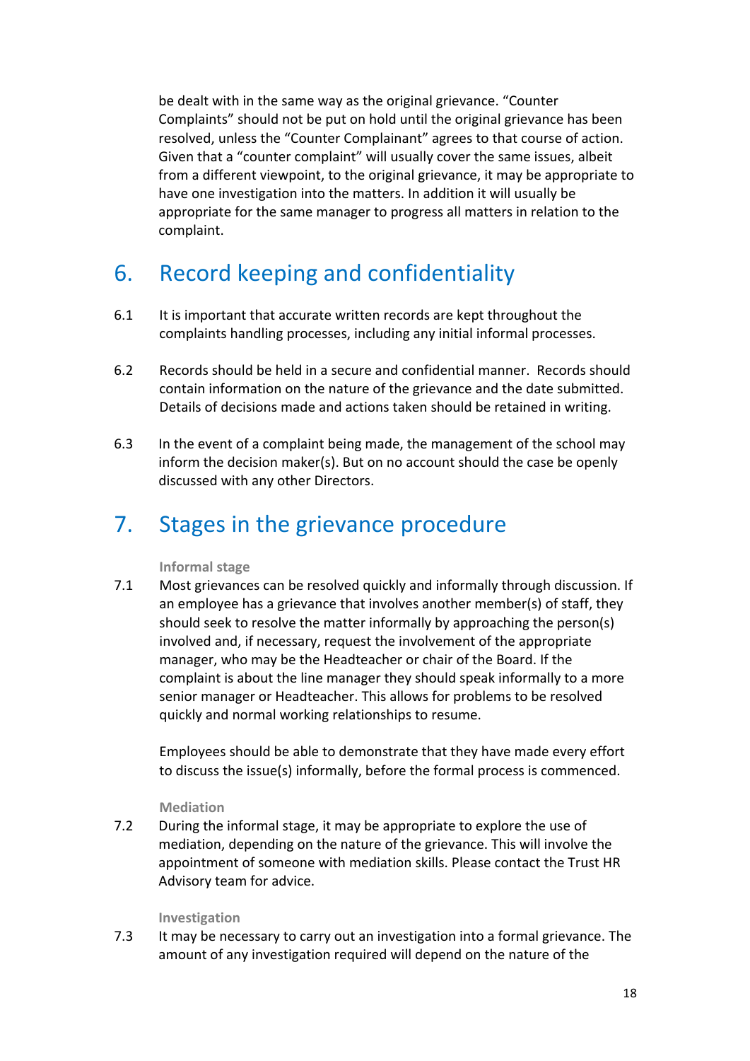be dealt with in the same way as the original grievance. "Counter Complaints" should not be put on hold until the original grievance has been resolved, unless the "Counter Complainant" agrees to that course of action. Given that a "counter complaint" will usually cover the same issues, albeit from a different viewpoint, to the original grievance, it may be appropriate to have one investigation into the matters. In addition it will usually be appropriate for the same manager to progress all matters in relation to the complaint.

# 6. Record keeping and confidentiality

- 6.1 It is important that accurate written records are kept throughout the complaints handling processes, including any initial informal processes.
- 6.2 Records should be held in a secure and confidential manner. Records should contain information on the nature of the grievance and the date submitted. Details of decisions made and actions taken should be retained in writing.
- 6.3 In the event of a complaint being made, the management of the school may inform the decision maker(s). But on no account should the case be openly discussed with any other Directors.

### 7. Stages in the grievance procedure

#### **Informal stage**

7.1 Most grievances can be resolved quickly and informally through discussion. If an employee has a grievance that involves another member(s) of staff, they should seek to resolve the matter informally by approaching the person(s) involved and, if necessary, request the involvement of the appropriate manager, who may be the Headteacher or chair of the Board. If the complaint is about the line manager they should speak informally to a more senior manager or Headteacher. This allows for problems to be resolved quickly and normal working relationships to resume.

Employees should be able to demonstrate that they have made every effort to discuss the issue(s) informally, before the formal process is commenced.

#### **Mediation**

7.2 During the informal stage, it may be appropriate to explore the use of mediation, depending on the nature of the grievance. This will involve the appointment of someone with mediation skills. Please contact the Trust HR Advisory team for advice.

#### **Investigation**

7.3 It may be necessary to carry out an investigation into a formal grievance. The amount of any investigation required will depend on the nature of the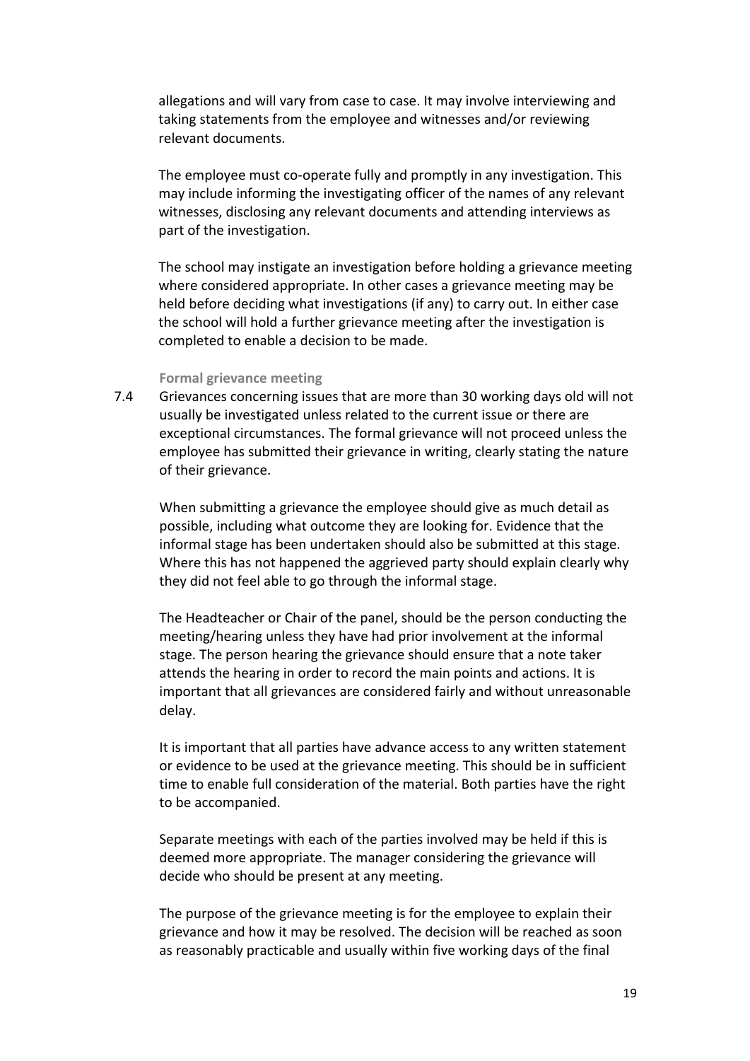allegations and will vary from case to case. It may involve interviewing and taking statements from the employee and witnesses and/or reviewing relevant documents.

The employee must co-operate fully and promptly in any investigation. This may include informing the investigating officer of the names of any relevant witnesses, disclosing any relevant documents and attending interviews as part of the investigation.

The school may instigate an investigation before holding a grievance meeting where considered appropriate. In other cases a grievance meeting may be held before deciding what investigations (if any) to carry out. In either case the school will hold a further grievance meeting after the investigation is completed to enable a decision to be made.

#### **Formal grievance meeting**

7.4 Grievances concerning issues that are more than 30 working days old will not usually be investigated unless related to the current issue or there are exceptional circumstances. The formal grievance will not proceed unless the employee has submitted their grievance in writing, clearly stating the nature of their grievance.

When submitting a grievance the employee should give as much detail as possible, including what outcome they are looking for. Evidence that the informal stage has been undertaken should also be submitted at this stage. Where this has not happened the aggrieved party should explain clearly why they did not feel able to go through the informal stage.

The Headteacher or Chair of the panel, should be the person conducting the meeting/hearing unless they have had prior involvement at the informal stage. The person hearing the grievance should ensure that a note taker attends the hearing in order to record the main points and actions. It is important that all grievances are considered fairly and without unreasonable delay. 

It is important that all parties have advance access to any written statement or evidence to be used at the grievance meeting. This should be in sufficient time to enable full consideration of the material. Both parties have the right to be accompanied.

Separate meetings with each of the parties involved may be held if this is deemed more appropriate. The manager considering the grievance will decide who should be present at any meeting.

The purpose of the grievance meeting is for the employee to explain their grievance and how it may be resolved. The decision will be reached as soon as reasonably practicable and usually within five working days of the final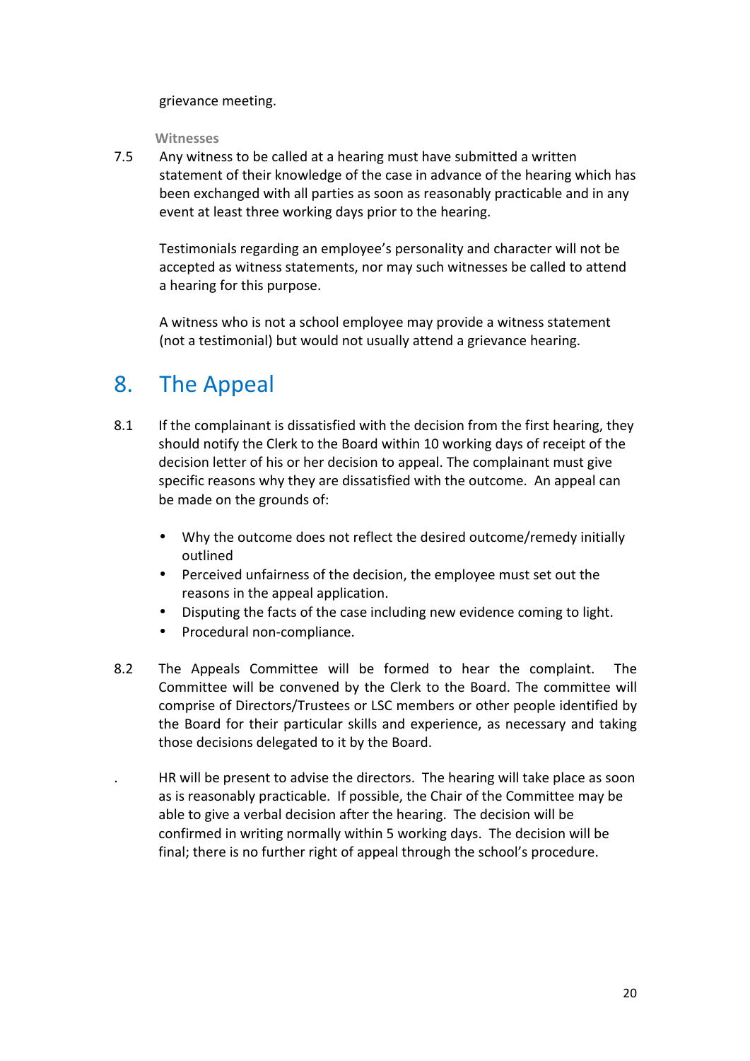grievance meeting. 

**Witnesses** 

7.5 Any witness to be called at a hearing must have submitted a written statement of their knowledge of the case in advance of the hearing which has been exchanged with all parties as soon as reasonably practicable and in any event at least three working days prior to the hearing.

Testimonials regarding an employee's personality and character will not be accepted as witness statements, nor may such witnesses be called to attend a hearing for this purpose.

A witness who is not a school employee may provide a witness statement (not a testimonial) but would not usually attend a grievance hearing.

### 8. The Appeal

- 8.1 If the complainant is dissatisfied with the decision from the first hearing, they should notify the Clerk to the Board within 10 working days of receipt of the decision letter of his or her decision to appeal. The complainant must give specific reasons why they are dissatisfied with the outcome. An appeal can be made on the grounds of:
	- Why the outcome does not reflect the desired outcome/remedy initially outlined
	- Perceived unfairness of the decision, the employee must set out the reasons in the appeal application.
	- Disputing the facts of the case including new evidence coming to light.
	- Procedural non-compliance.
- 8.2 The Appeals Committee will be formed to hear the complaint. The Committee will be convened by the Clerk to the Board. The committee will comprise of Directors/Trustees or LSC members or other people identified by the Board for their particular skills and experience, as necessary and taking those decisions delegated to it by the Board.

HR will be present to advise the directors. The hearing will take place as soon as is reasonably practicable. If possible, the Chair of the Committee may be able to give a verbal decision after the hearing. The decision will be confirmed in writing normally within 5 working days. The decision will be final; there is no further right of appeal through the school's procedure.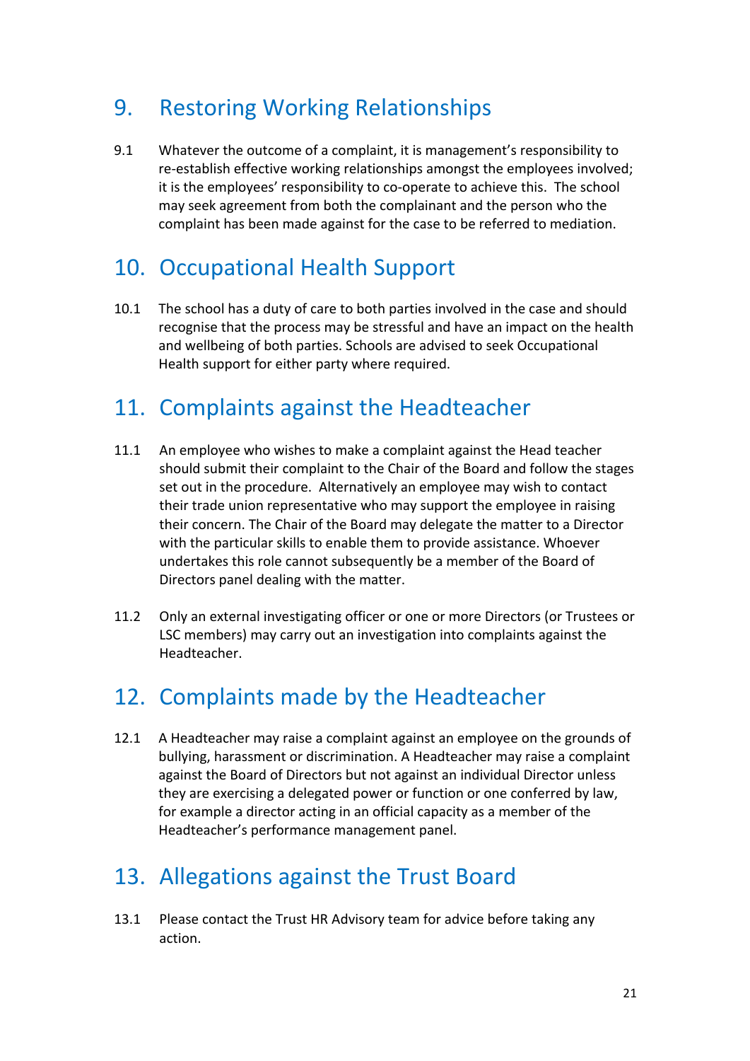## 9. Restoring Working Relationships

9.1 Whatever the outcome of a complaint, it is management's responsibility to re-establish effective working relationships amongst the employees involved; it is the employees' responsibility to co-operate to achieve this. The school may seek agreement from both the complainant and the person who the complaint has been made against for the case to be referred to mediation.

# 10. Occupational Health Support

10.1 The school has a duty of care to both parties involved in the case and should recognise that the process may be stressful and have an impact on the health and wellbeing of both parties. Schools are advised to seek Occupational Health support for either party where required.

# 11. Complaints against the Headteacher

- 11.1 An employee who wishes to make a complaint against the Head teacher should submit their complaint to the Chair of the Board and follow the stages set out in the procedure. Alternatively an employee may wish to contact their trade union representative who may support the employee in raising their concern. The Chair of the Board may delegate the matter to a Director with the particular skills to enable them to provide assistance. Whoever undertakes this role cannot subsequently be a member of the Board of Directors panel dealing with the matter.
- 11.2 Only an external investigating officer or one or more Directors (or Trustees or LSC members) may carry out an investigation into complaints against the Headteacher.

# 12. Complaints made by the Headteacher

12.1 A Headteacher may raise a complaint against an employee on the grounds of bullying, harassment or discrimination. A Headteacher may raise a complaint against the Board of Directors but not against an individual Director unless they are exercising a delegated power or function or one conferred by law, for example a director acting in an official capacity as a member of the Headteacher's performance management panel.

# 13. Allegations against the Trust Board

13.1 Please contact the Trust HR Advisory team for advice before taking any action.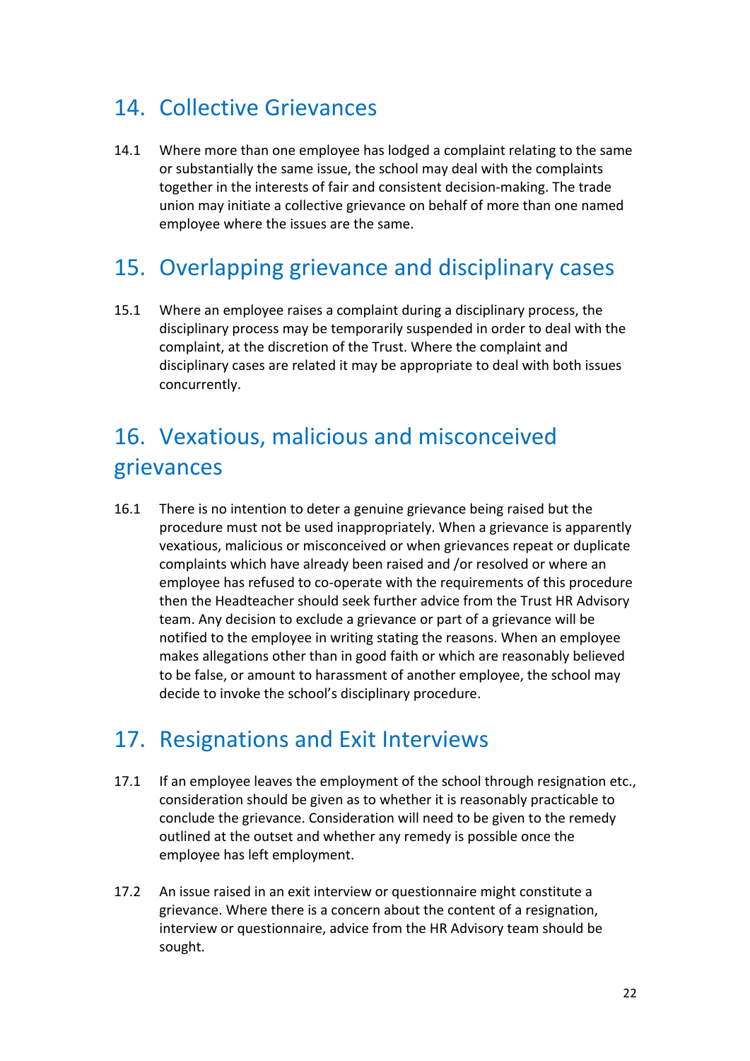### 14. Collective Grievances

14.1 Where more than one employee has lodged a complaint relating to the same or substantially the same issue, the school may deal with the complaints together in the interests of fair and consistent decision-making. The trade union may initiate a collective grievance on behalf of more than one named employee where the issues are the same.

# 15. Overlapping grievance and disciplinary cases

15.1 Where an employee raises a complaint during a disciplinary process, the disciplinary process may be temporarily suspended in order to deal with the complaint, at the discretion of the Trust. Where the complaint and disciplinary cases are related it may be appropriate to deal with both issues concurrently.

# 16. Vexatious, malicious and misconceived grievances

16.1 There is no intention to deter a genuine grievance being raised but the procedure must not be used inappropriately. When a grievance is apparently vexatious, malicious or misconceived or when grievances repeat or duplicate complaints which have already been raised and /or resolved or where an employee has refused to co-operate with the requirements of this procedure then the Headteacher should seek further advice from the Trust HR Advisory team. Any decision to exclude a grievance or part of a grievance will be notified to the employee in writing stating the reasons. When an employee makes allegations other than in good faith or which are reasonably believed to be false, or amount to harassment of another employee, the school may decide to invoke the school's disciplinary procedure.

# 17. Resignations and Exit Interviews

- 17.1 If an employee leaves the employment of the school through resignation etc., consideration should be given as to whether it is reasonably practicable to conclude the grievance. Consideration will need to be given to the remedy outlined at the outset and whether any remedy is possible once the employee has left employment.
- 17.2 An issue raised in an exit interview or questionnaire might constitute a grievance. Where there is a concern about the content of a resignation, interview or questionnaire, advice from the HR Advisory team should be sought.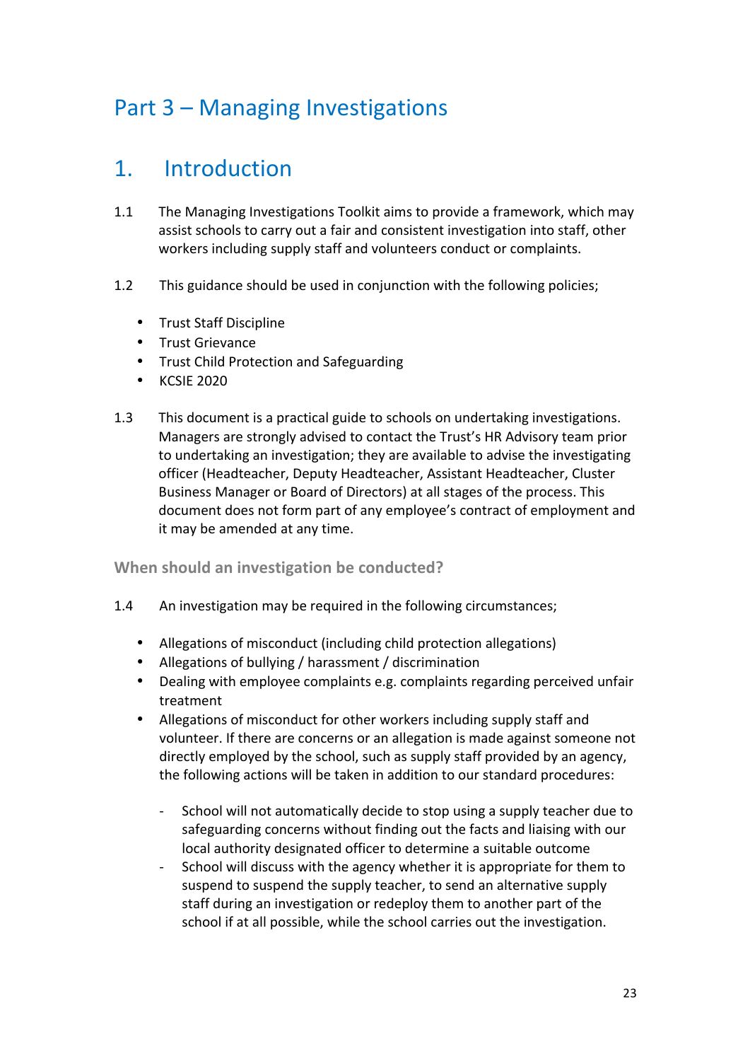# Part 3 – Managing Investigations

# 1. Introduction

- 1.1 The Managing Investigations Toolkit aims to provide a framework, which may assist schools to carry out a fair and consistent investigation into staff, other workers including supply staff and volunteers conduct or complaints.
- 1.2 This guidance should be used in conjunction with the following policies;
	- Trust Staff Discipline
	- Trust Grievance
	- Trust Child Protection and Safeguarding
	- KCSIE 2020
- 1.3 This document is a practical guide to schools on undertaking investigations. Managers are strongly advised to contact the Trust's HR Advisory team prior to undertaking an investigation; they are available to advise the investigating officer (Headteacher, Deputy Headteacher, Assistant Headteacher, Cluster Business Manager or Board of Directors) at all stages of the process. This document does not form part of any employee's contract of employment and it may be amended at any time.

### **When should an investigation be conducted?**

- 1.4 An investigation may be required in the following circumstances;
	- Allegations of misconduct (including child protection allegations)
	- Allegations of bullying / harassment / discrimination
	- Dealing with employee complaints e.g. complaints regarding perceived unfair treatment
	- Allegations of misconduct for other workers including supply staff and volunteer. If there are concerns or an allegation is made against someone not directly employed by the school, such as supply staff provided by an agency, the following actions will be taken in addition to our standard procedures:
		- School will not automatically decide to stop using a supply teacher due to safeguarding concerns without finding out the facts and liaising with our local authority designated officer to determine a suitable outcome
		- School will discuss with the agency whether it is appropriate for them to suspend to suspend the supply teacher, to send an alternative supply staff during an investigation or redeploy them to another part of the school if at all possible, while the school carries out the investigation.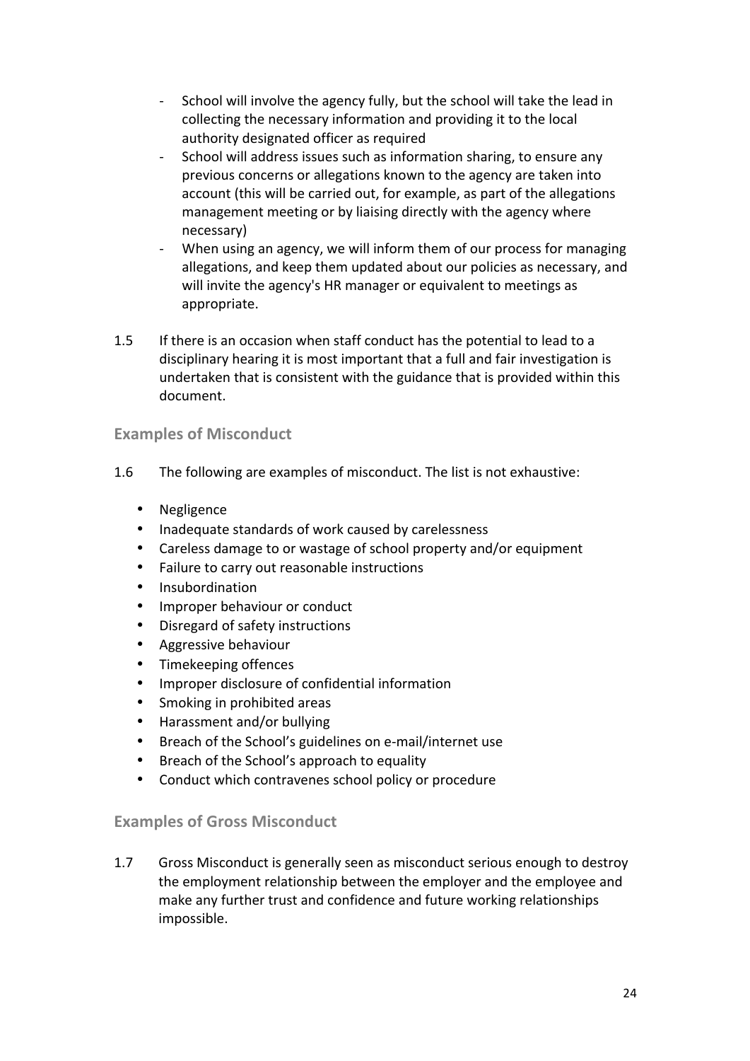- School will involve the agency fully, but the school will take the lead in collecting the necessary information and providing it to the local authority designated officer as required
- School will address issues such as information sharing, to ensure any previous concerns or allegations known to the agency are taken into account (this will be carried out, for example, as part of the allegations management meeting or by liaising directly with the agency where necessary)
- When using an agency, we will inform them of our process for managing allegations, and keep them updated about our policies as necessary, and will invite the agency's HR manager or equivalent to meetings as appropriate.
- 1.5 If there is an occasion when staff conduct has the potential to lead to a disciplinary hearing it is most important that a full and fair investigation is undertaken that is consistent with the guidance that is provided within this document.

### **Examples of Misconduct**

- 1.6 The following are examples of misconduct. The list is not exhaustive:
	- Negligence
	- Inadequate standards of work caused by carelessness
	- Careless damage to or wastage of school property and/or equipment
	- Failure to carry out reasonable instructions
	- Insubordination
	- Improper behaviour or conduct
	- Disregard of safety instructions
	- Aggressive behaviour
	- Timekeeping offences
	- Improper disclosure of confidential information
	- Smoking in prohibited areas
	- Harassment and/or bullying
	- Breach of the School's guidelines on e-mail/internet use
	- Breach of the School's approach to equality
	- Conduct which contravenes school policy or procedure

#### **Examples of Gross Misconduct**

1.7 Gross Misconduct is generally seen as misconduct serious enough to destroy the employment relationship between the employer and the employee and make any further trust and confidence and future working relationships impossible.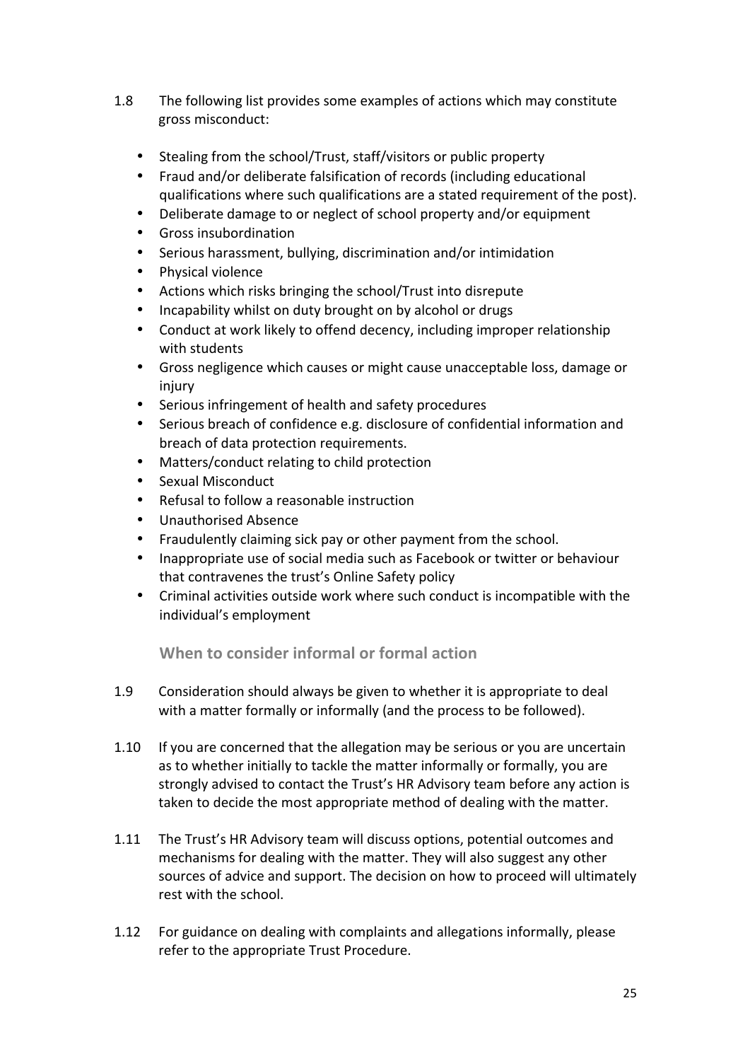- 1.8 The following list provides some examples of actions which may constitute gross misconduct:
	- Stealing from the school/Trust, staff/visitors or public property
	- Fraud and/or deliberate falsification of records (including educational qualifications where such qualifications are a stated requirement of the post).
	- Deliberate damage to or neglect of school property and/or equipment
	- Gross insubordination
	- Serious harassment, bullying, discrimination and/or intimidation
	- Physical violence
	- Actions which risks bringing the school/Trust into disrepute
	- Incapability whilst on duty brought on by alcohol or drugs
	- Conduct at work likely to offend decency, including improper relationship with students
	- Gross negligence which causes or might cause unacceptable loss, damage or injury
	- Serious infringement of health and safety procedures
	- Serious breach of confidence e.g. disclosure of confidential information and breach of data protection requirements.
	- Matters/conduct relating to child protection
	- Sexual Misconduct
	- Refusal to follow a reasonable instruction
	- Unauthorised Absence
	- Fraudulently claiming sick pay or other payment from the school.
	- Inappropriate use of social media such as Facebook or twitter or behaviour that contravenes the trust's Online Safety policy
	- Criminal activities outside work where such conduct is incompatible with the individual's employment

**When to consider informal or formal action** 

- 1.9 Consideration should always be given to whether it is appropriate to deal with a matter formally or informally (and the process to be followed).
- 1.10 If you are concerned that the allegation may be serious or you are uncertain as to whether initially to tackle the matter informally or formally, you are strongly advised to contact the Trust's HR Advisory team before any action is taken to decide the most appropriate method of dealing with the matter.
- 1.11 The Trust's HR Advisory team will discuss options, potential outcomes and mechanisms for dealing with the matter. They will also suggest any other sources of advice and support. The decision on how to proceed will ultimately rest with the school.
- 1.12 For guidance on dealing with complaints and allegations informally, please refer to the appropriate Trust Procedure.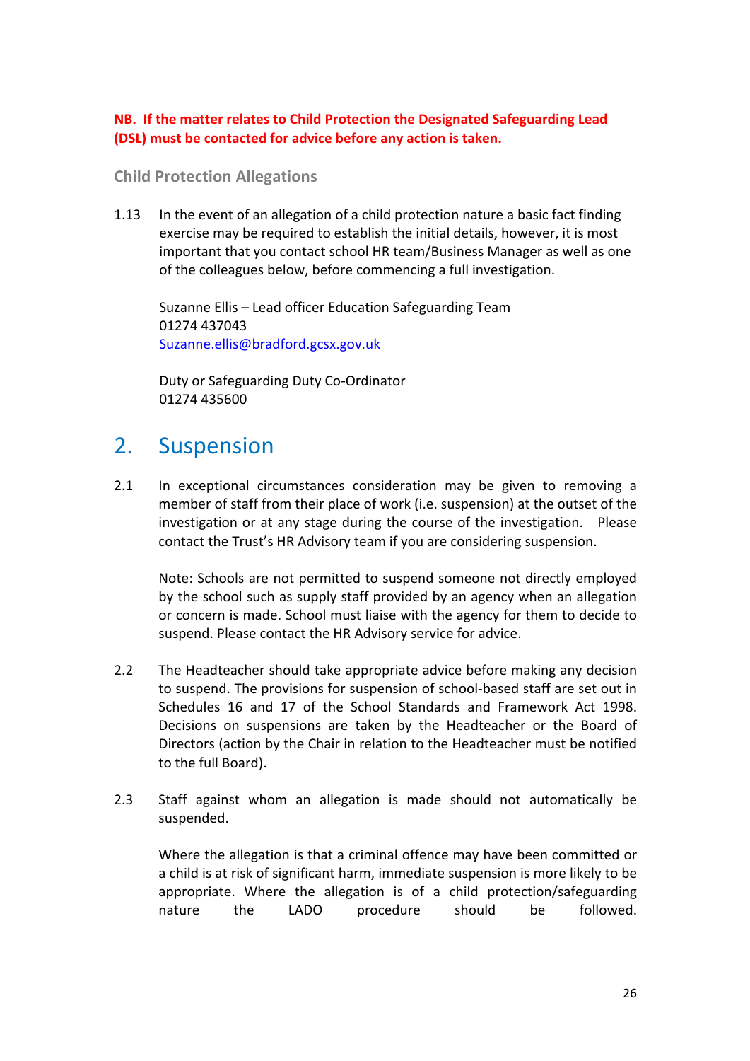#### **NB.** If the matter relates to Child Protection the Designated Safeguarding Lead **(DSL)** must be contacted for advice before any action is taken.

#### **Child Protection Allegations**

1.13 In the event of an allegation of a child protection nature a basic fact finding exercise may be required to establish the initial details, however, it is most important that you contact school HR team/Business Manager as well as one of the colleagues below, before commencing a full investigation.

Suzanne Ellis – Lead officer Education Safeguarding Team 01274 437043 Suzanne.ellis@bradford.gcsx.gov.uk

Duty or Safeguarding Duty Co-Ordinator 01274 435600

### 2. Suspension

2.1 In exceptional circumstances consideration may be given to removing a member of staff from their place of work (i.e. suspension) at the outset of the investigation or at any stage during the course of the investigation. Please contact the Trust's HR Advisory team if you are considering suspension.

Note: Schools are not permitted to suspend someone not directly employed by the school such as supply staff provided by an agency when an allegation or concern is made. School must liaise with the agency for them to decide to suspend. Please contact the HR Advisory service for advice.

- 2.2 The Headteacher should take appropriate advice before making any decision to suspend. The provisions for suspension of school-based staff are set out in Schedules 16 and 17 of the School Standards and Framework Act 1998. Decisions on suspensions are taken by the Headteacher or the Board of Directors (action by the Chair in relation to the Headteacher must be notified to the full Board).
- 2.3 Staff against whom an allegation is made should not automatically be suspended.

Where the allegation is that a criminal offence may have been committed or a child is at risk of significant harm, immediate suspension is more likely to be appropriate. Where the allegation is of a child protection/safeguarding nature the LADO procedure should be followed.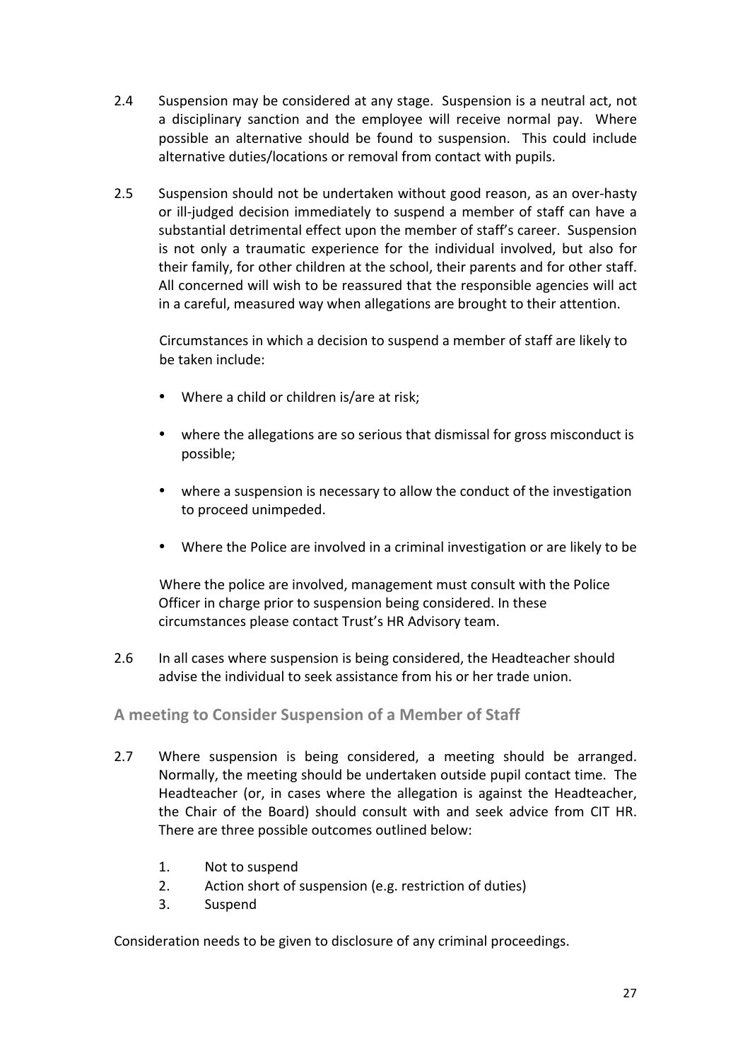- 2.4 Suspension may be considered at any stage. Suspension is a neutral act, not a disciplinary sanction and the employee will receive normal pay. Where possible an alternative should be found to suspension. This could include alternative duties/locations or removal from contact with pupils.
- 2.5 Suspension should not be undertaken without good reason, as an over-hasty or ill-judged decision immediately to suspend a member of staff can have a substantial detrimental effect upon the member of staff's career. Suspension is not only a traumatic experience for the individual involved, but also for their family, for other children at the school, their parents and for other staff. All concerned will wish to be reassured that the responsible agencies will act in a careful, measured way when allegations are brought to their attention.

Circumstances in which a decision to suspend a member of staff are likely to be taken include:

- Where a child or children is/are at risk;
- where the allegations are so serious that dismissal for gross misconduct is possible;
- where a suspension is necessary to allow the conduct of the investigation to proceed unimpeded.
- Where the Police are involved in a criminal investigation or are likely to be

Where the police are involved, management must consult with the Police Officer in charge prior to suspension being considered. In these circumstances please contact Trust's HR Advisory team.

2.6 In all cases where suspension is being considered, the Headteacher should advise the individual to seek assistance from his or her trade union.

### A meeting to Consider Suspension of a Member of Staff

- 2.7 Where suspension is being considered, a meeting should be arranged. Normally, the meeting should be undertaken outside pupil contact time. The Headteacher (or, in cases where the allegation is against the Headteacher, the Chair of the Board) should consult with and seek advice from CIT HR. There are three possible outcomes outlined below:
	- 1. Not to suspend
	- 2. Action short of suspension (e.g. restriction of duties)
	- 3. Suspend

Consideration needs to be given to disclosure of any criminal proceedings.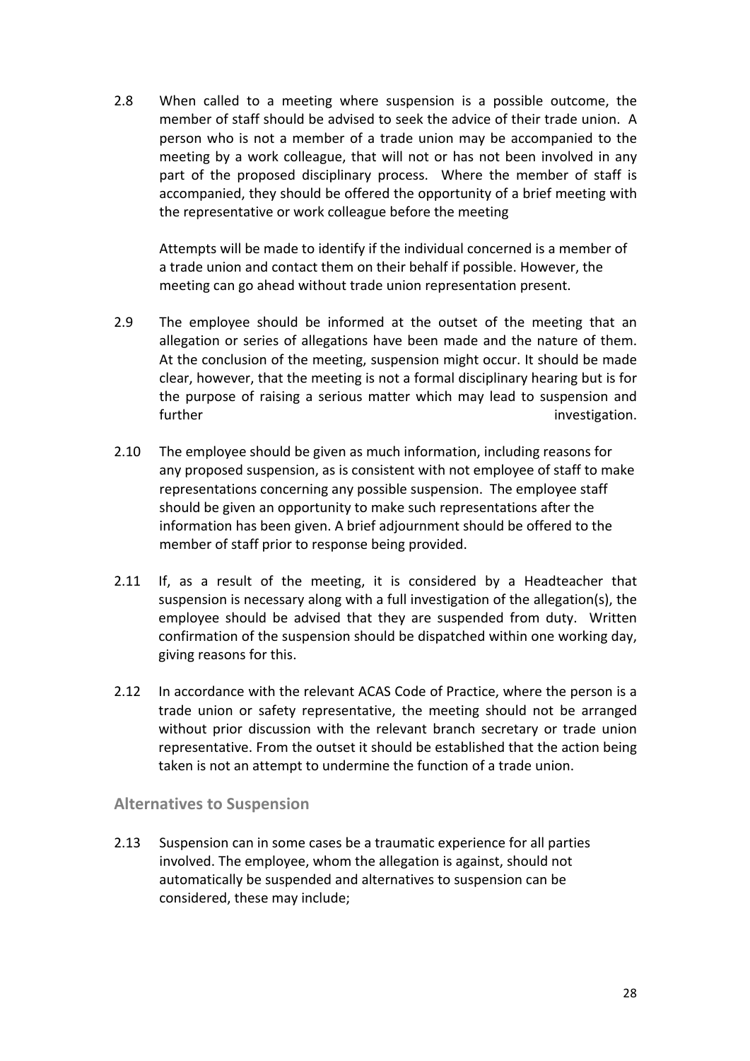2.8 When called to a meeting where suspension is a possible outcome, the member of staff should be advised to seek the advice of their trade union. A person who is not a member of a trade union may be accompanied to the meeting by a work colleague, that will not or has not been involved in any part of the proposed disciplinary process. Where the member of staff is accompanied, they should be offered the opportunity of a brief meeting with the representative or work colleague before the meeting

Attempts will be made to identify if the individual concerned is a member of a trade union and contact them on their behalf if possible. However, the meeting can go ahead without trade union representation present.

- 2.9 The employee should be informed at the outset of the meeting that an allegation or series of allegations have been made and the nature of them. At the conclusion of the meeting, suspension might occur. It should be made clear, however, that the meeting is not a formal disciplinary hearing but is for the purpose of raising a serious matter which may lead to suspension and further investigation.
- 2.10 The employee should be given as much information, including reasons for any proposed suspension, as is consistent with not employee of staff to make representations concerning any possible suspension. The employee staff should be given an opportunity to make such representations after the information has been given. A brief adjournment should be offered to the member of staff prior to response being provided.
- 2.11 If, as a result of the meeting, it is considered by a Headteacher that suspension is necessary along with a full investigation of the allegation(s), the employee should be advised that they are suspended from duty. Written confirmation of the suspension should be dispatched within one working day, giving reasons for this.
- 2.12 In accordance with the relevant ACAS Code of Practice, where the person is a trade union or safety representative, the meeting should not be arranged without prior discussion with the relevant branch secretary or trade union representative. From the outset it should be established that the action being taken is not an attempt to undermine the function of a trade union.

### **Alternatives to Suspension**

2.13 Suspension can in some cases be a traumatic experience for all parties involved. The employee, whom the allegation is against, should not automatically be suspended and alternatives to suspension can be considered, these may include;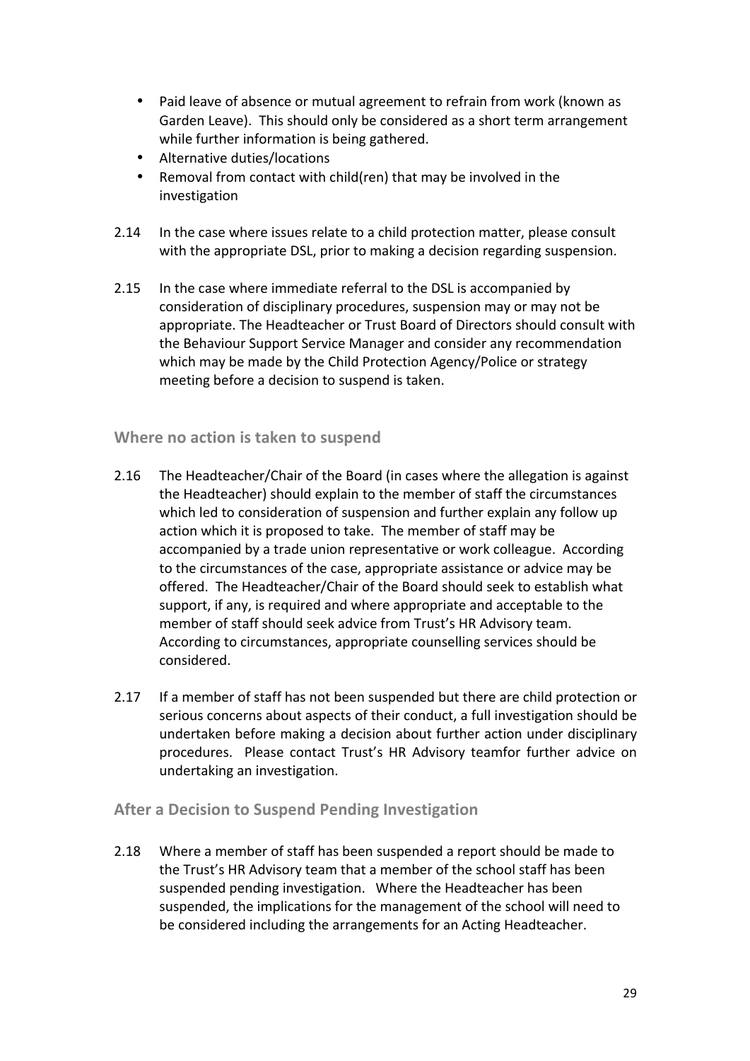- Paid leave of absence or mutual agreement to refrain from work (known as Garden Leave). This should only be considered as a short term arrangement while further information is being gathered.
- Alternative duties/locations
- Removal from contact with child(ren) that may be involved in the investigation
- 2.14 In the case where issues relate to a child protection matter, please consult with the appropriate DSL, prior to making a decision regarding suspension.
- 2.15 In the case where immediate referral to the DSL is accompanied by consideration of disciplinary procedures, suspension may or may not be appropriate. The Headteacher or Trust Board of Directors should consult with the Behaviour Support Service Manager and consider any recommendation which may be made by the Child Protection Agency/Police or strategy meeting before a decision to suspend is taken.

### **Where no action is taken to suspend**

- 2.16 The Headteacher/Chair of the Board (in cases where the allegation is against the Headteacher) should explain to the member of staff the circumstances which led to consideration of suspension and further explain any follow up action which it is proposed to take. The member of staff may be accompanied by a trade union representative or work colleague. According to the circumstances of the case, appropriate assistance or advice may be offered. The Headteacher/Chair of the Board should seek to establish what support, if any, is required and where appropriate and acceptable to the member of staff should seek advice from Trust's HR Advisory team. According to circumstances, appropriate counselling services should be considered.
- 2.17 If a member of staff has not been suspended but there are child protection or serious concerns about aspects of their conduct, a full investigation should be undertaken before making a decision about further action under disciplinary procedures. Please contact Trust's HR Advisory teamfor further advice on undertaking an investigation.

### **After a Decision to Suspend Pending Investigation**

2.18 Where a member of staff has been suspended a report should be made to the Trust's HR Advisory team that a member of the school staff has been suspended pending investigation. Where the Headteacher has been suspended, the implications for the management of the school will need to be considered including the arrangements for an Acting Headteacher.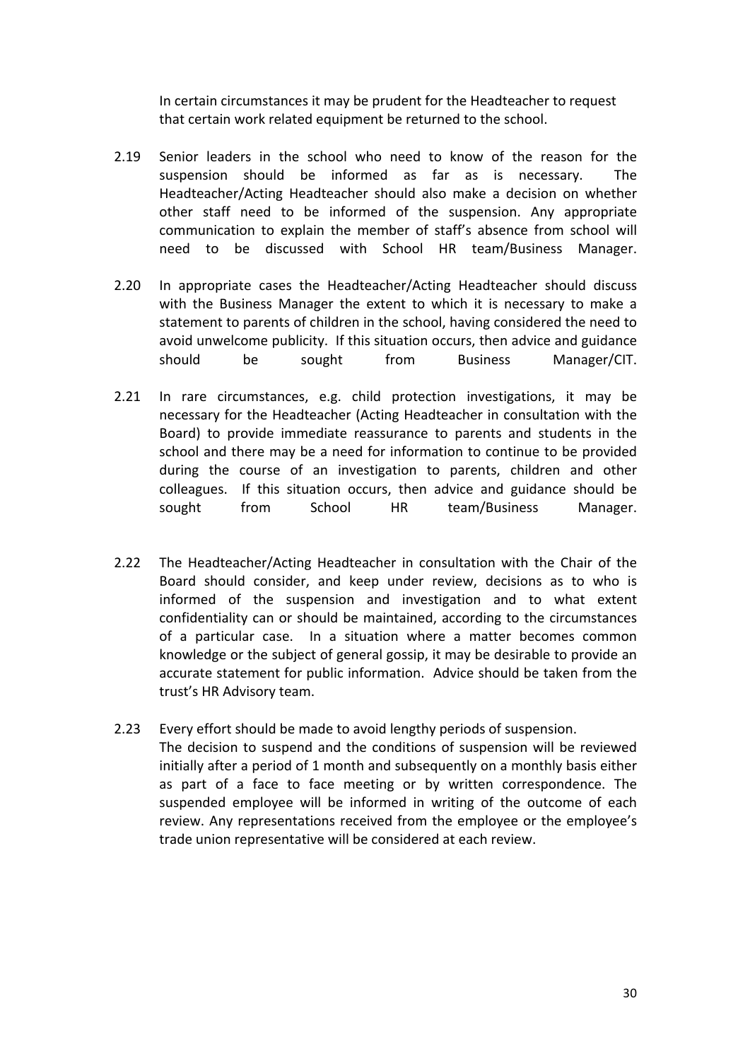In certain circumstances it may be prudent for the Headteacher to request that certain work related equipment be returned to the school.

- 2.19 Senior leaders in the school who need to know of the reason for the suspension should be informed as far as is necessary. The Headteacher/Acting Headteacher should also make a decision on whether other staff need to be informed of the suspension. Any appropriate communication to explain the member of staff's absence from school will need to be discussed with School HR team/Business Manager.
- 2.20 In appropriate cases the Headteacher/Acting Headteacher should discuss with the Business Manager the extent to which it is necessary to make a statement to parents of children in the school, having considered the need to avoid unwelcome publicity. If this situation occurs, then advice and guidance should be sought from Business Manager/CIT.
- 2.21 In rare circumstances, e.g. child protection investigations, it may be necessary for the Headteacher (Acting Headteacher in consultation with the Board) to provide immediate reassurance to parents and students in the school and there may be a need for information to continue to be provided during the course of an investigation to parents, children and other colleagues. If this situation occurs, then advice and guidance should be sought from School HR team/Business Manager.
- 2.22 The Headteacher/Acting Headteacher in consultation with the Chair of the Board should consider, and keep under review, decisions as to who is informed of the suspension and investigation and to what extent confidentiality can or should be maintained, according to the circumstances of a particular case. In a situation where a matter becomes common knowledge or the subject of general gossip, it may be desirable to provide an accurate statement for public information. Advice should be taken from the trust's HR Advisory team.
- 2.23 Every effort should be made to avoid lengthy periods of suspension. The decision to suspend and the conditions of suspension will be reviewed initially after a period of 1 month and subsequently on a monthly basis either as part of a face to face meeting or by written correspondence. The suspended employee will be informed in writing of the outcome of each review. Any representations received from the employee or the employee's trade union representative will be considered at each review.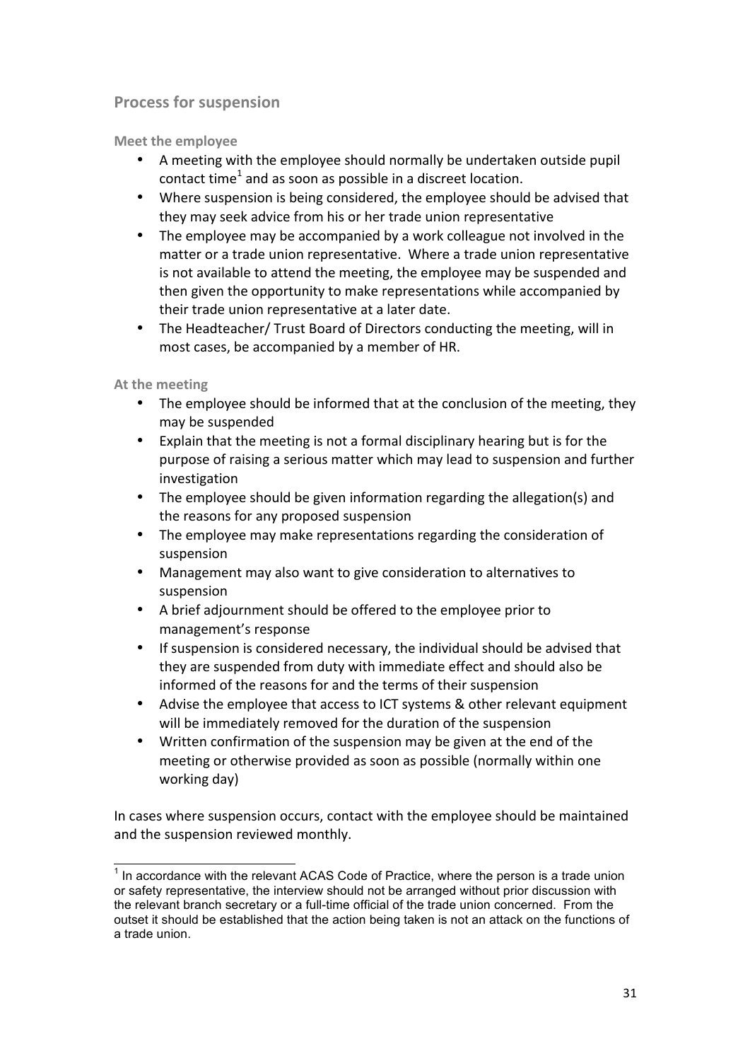### **Process for suspension**

**Meet the employee** 

- A meeting with the employee should normally be undertaken outside pupil contact time<sup>1</sup> and as soon as possible in a discreet location.
- Where suspension is being considered, the employee should be advised that they may seek advice from his or her trade union representative
- The employee may be accompanied by a work colleague not involved in the matter or a trade union representative. Where a trade union representative is not available to attend the meeting, the employee may be suspended and then given the opportunity to make representations while accompanied by their trade union representative at a later date.
- The Headteacher/ Trust Board of Directors conducting the meeting, will in most cases, be accompanied by a member of HR.

**At the meeting** 

- The employee should be informed that at the conclusion of the meeting, they may be suspended
- Explain that the meeting is not a formal disciplinary hearing but is for the purpose of raising a serious matter which may lead to suspension and further investigation
- The employee should be given information regarding the allegation(s) and the reasons for any proposed suspension
- The employee may make representations regarding the consideration of suspension
- Management may also want to give consideration to alternatives to suspension
- A brief adjournment should be offered to the employee prior to management's response
- If suspension is considered necessary, the individual should be advised that they are suspended from duty with immediate effect and should also be informed of the reasons for and the terms of their suspension
- Advise the employee that access to ICT systems & other relevant equipment will be immediately removed for the duration of the suspension
- Written confirmation of the suspension may be given at the end of the meeting or otherwise provided as soon as possible (normally within one working day)

In cases where suspension occurs, contact with the employee should be maintained and the suspension reviewed monthly.

 $1$  In accordance with the relevant ACAS Code of Practice, where the person is a trade union or safety representative, the interview should not be arranged without prior discussion with the relevant branch secretary or a full-time official of the trade union concerned. From the outset it should be established that the action being taken is not an attack on the functions of a trade union.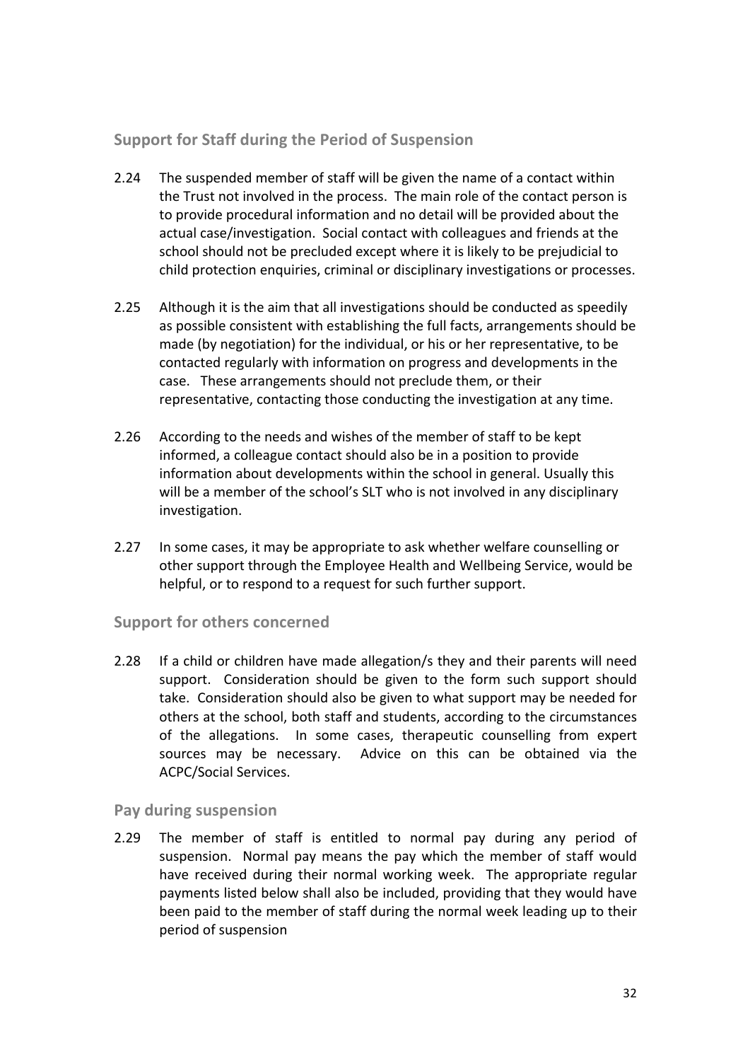### **Support for Staff during the Period of Suspension**

- 2.24 The suspended member of staff will be given the name of a contact within the Trust not involved in the process. The main role of the contact person is to provide procedural information and no detail will be provided about the actual case/investigation. Social contact with colleagues and friends at the school should not be precluded except where it is likely to be prejudicial to child protection enquiries, criminal or disciplinary investigations or processes.
- 2.25 Although it is the aim that all investigations should be conducted as speedily as possible consistent with establishing the full facts, arrangements should be made (by negotiation) for the individual, or his or her representative, to be contacted regularly with information on progress and developments in the case. These arrangements should not preclude them, or their representative, contacting those conducting the investigation at any time.
- 2.26 According to the needs and wishes of the member of staff to be kept informed, a colleague contact should also be in a position to provide information about developments within the school in general. Usually this will be a member of the school's SLT who is not involved in any disciplinary investigation.
- 2.27 In some cases, it may be appropriate to ask whether welfare counselling or other support through the Employee Health and Wellbeing Service, would be helpful, or to respond to a request for such further support.

### **Support for others concerned**

2.28 If a child or children have made allegation/s they and their parents will need support. Consideration should be given to the form such support should take. Consideration should also be given to what support may be needed for others at the school, both staff and students, according to the circumstances of the allegations. In some cases, therapeutic counselling from expert sources may be necessary. Advice on this can be obtained via the ACPC/Social Services.

### **Pay during suspension**

2.29 The member of staff is entitled to normal pay during any period of suspension. Normal pay means the pay which the member of staff would have received during their normal working week. The appropriate regular payments listed below shall also be included, providing that they would have been paid to the member of staff during the normal week leading up to their period of suspension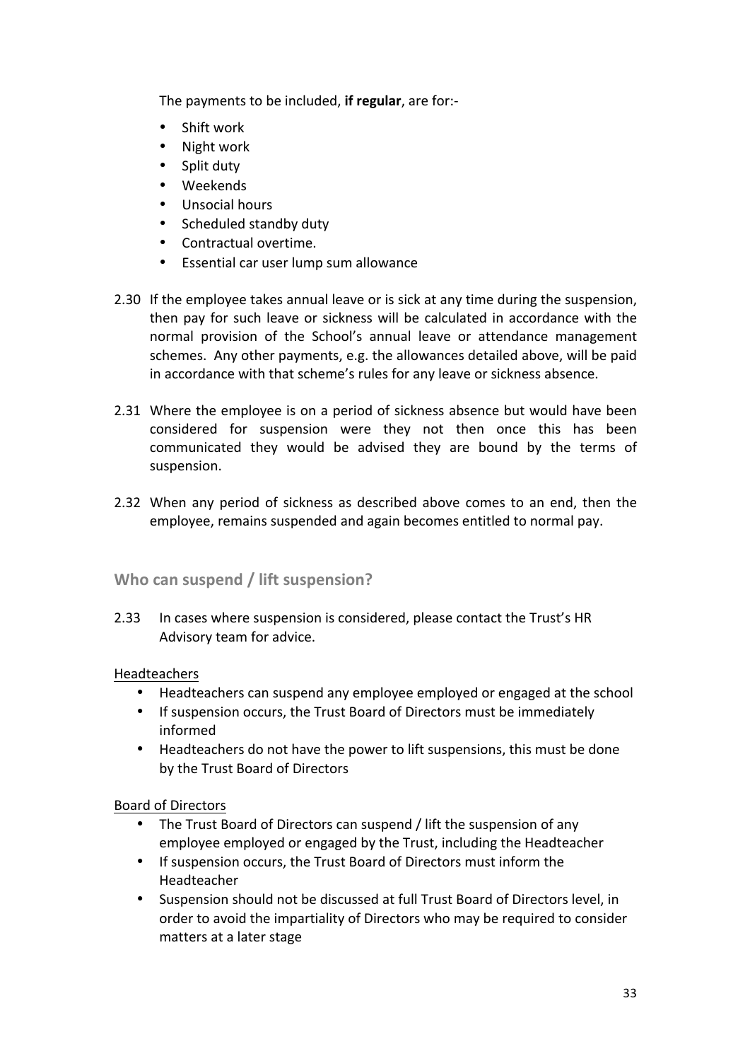The payments to be included, if regular, are for:-

- $\bullet$  Shift work
- Night work
- Split duty
- Weekends
- Unsocial hours
- Scheduled standby duty
- Contractual overtime.
- Essential car user lump sum allowance
- 2.30 If the employee takes annual leave or is sick at any time during the suspension, then pay for such leave or sickness will be calculated in accordance with the normal provision of the School's annual leave or attendance management schemes. Any other payments, e.g. the allowances detailed above, will be paid in accordance with that scheme's rules for any leave or sickness absence.
- 2.31 Where the employee is on a period of sickness absence but would have been considered for suspension were they not then once this has been communicated they would be advised they are bound by the terms of suspension.
- 2.32 When any period of sickness as described above comes to an end, then the employee, remains suspended and again becomes entitled to normal pay.

### **Who can suspend / lift suspension?**

2.33 In cases where suspension is considered, please contact the Trust's HR Advisory team for advice.

### **Headteachers**

- Headteachers can suspend any employee employed or engaged at the school
- If suspension occurs, the Trust Board of Directors must be immediately informed
- Headteachers do not have the power to lift suspensions, this must be done by the Trust Board of Directors

### Board of Directors

- The Trust Board of Directors can suspend / lift the suspension of any employee employed or engaged by the Trust, including the Headteacher
- If suspension occurs, the Trust Board of Directors must inform the Headteacher
- Suspension should not be discussed at full Trust Board of Directors level, in order to avoid the impartiality of Directors who may be required to consider matters at a later stage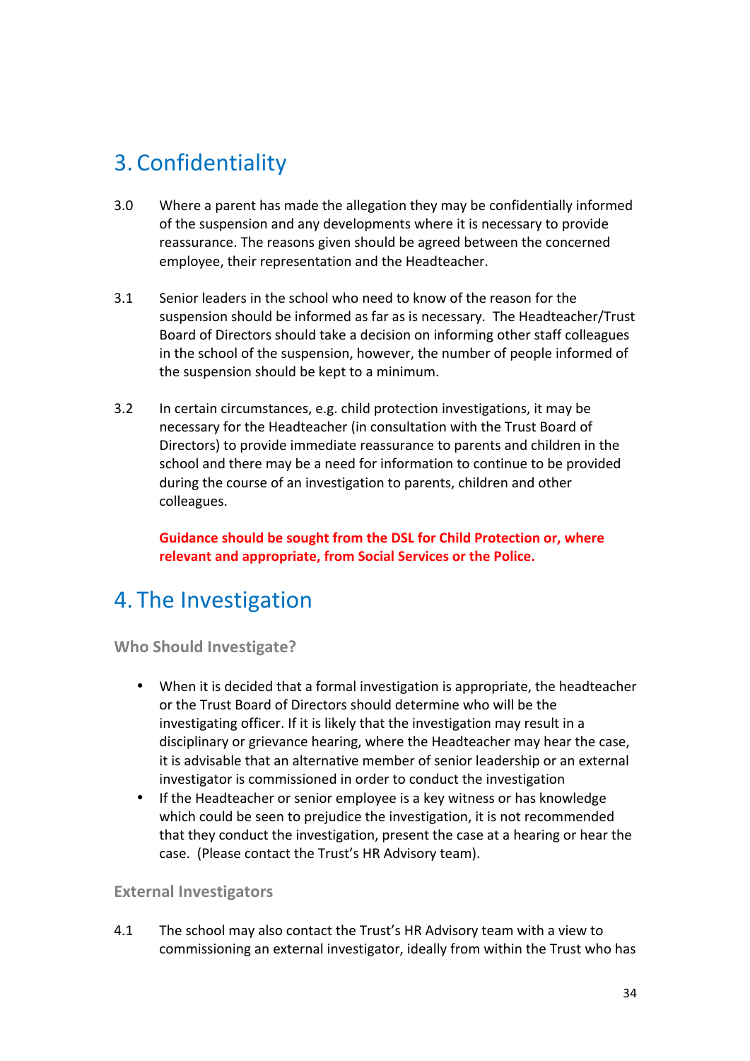# 3. Confidentiality

- 3.0 Where a parent has made the allegation they may be confidentially informed of the suspension and any developments where it is necessary to provide reassurance. The reasons given should be agreed between the concerned employee, their representation and the Headteacher.
- 3.1 Senior leaders in the school who need to know of the reason for the suspension should be informed as far as is necessary. The Headteacher/Trust Board of Directors should take a decision on informing other staff colleagues in the school of the suspension, however, the number of people informed of the suspension should be kept to a minimum.
- 3.2 In certain circumstances, e.g. child protection investigations, it may be necessary for the Headteacher (in consultation with the Trust Board of Directors) to provide immediate reassurance to parents and children in the school and there may be a need for information to continue to be provided during the course of an investigation to parents, children and other colleagues.

Guidance should be sought from the DSL for Child Protection or, where relevant and appropriate, from Social Services or the Police.

# 4. The Investigation

**Who Should Investigate?** 

- When it is decided that a formal investigation is appropriate, the headteacher or the Trust Board of Directors should determine who will be the investigating officer. If it is likely that the investigation may result in a disciplinary or grievance hearing, where the Headteacher may hear the case, it is advisable that an alternative member of senior leadership or an external investigator is commissioned in order to conduct the investigation
- If the Headteacher or senior employee is a key witness or has knowledge which could be seen to prejudice the investigation, it is not recommended that they conduct the investigation, present the case at a hearing or hear the case. (Please contact the Trust's HR Advisory team).

### **External Investigators**

4.1 The school may also contact the Trust's HR Advisory team with a view to commissioning an external investigator, ideally from within the Trust who has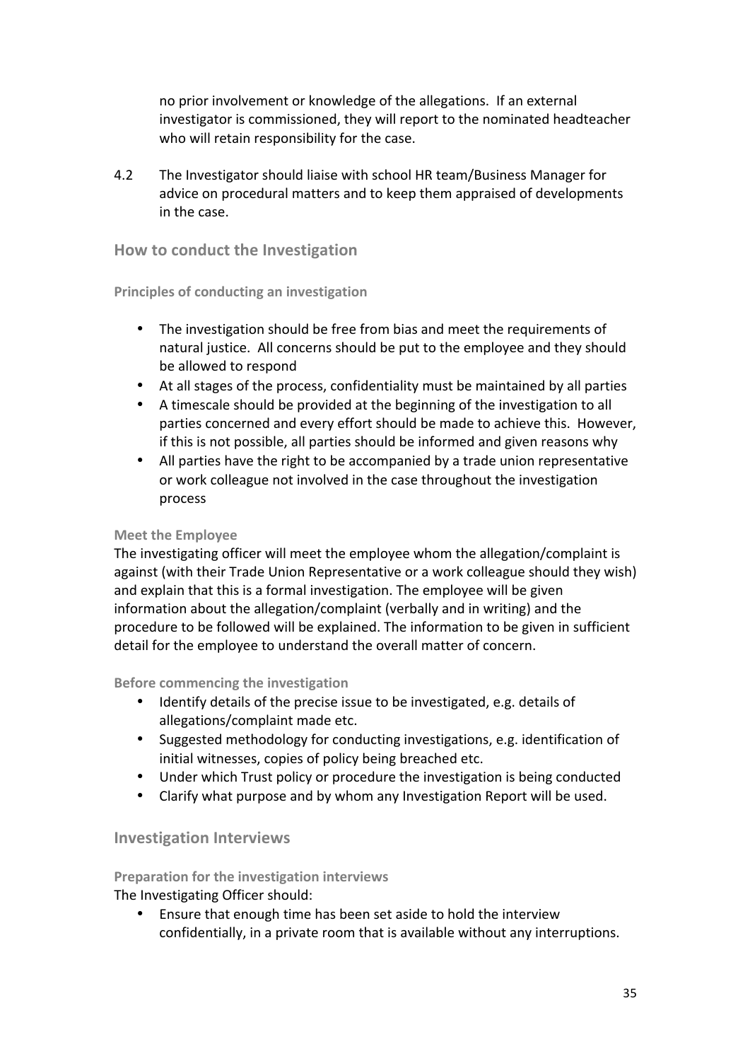no prior involvement or knowledge of the allegations. If an external investigator is commissioned, they will report to the nominated headteacher who will retain responsibility for the case.

4.2 The Investigator should liaise with school HR team/Business Manager for advice on procedural matters and to keep them appraised of developments in the case.

#### **How to conduct the Investigation**

#### **Principles of conducting an investigation**

- The investigation should be free from bias and meet the requirements of natural justice. All concerns should be put to the employee and they should be allowed to respond
- At all stages of the process, confidentiality must be maintained by all parties
- A timescale should be provided at the beginning of the investigation to all parties concerned and every effort should be made to achieve this. However, if this is not possible, all parties should be informed and given reasons why
- All parties have the right to be accompanied by a trade union representative or work colleague not involved in the case throughout the investigation process

#### **Meet the Employee**

The investigating officer will meet the employee whom the allegation/complaint is against (with their Trade Union Representative or a work colleague should they wish) and explain that this is a formal investigation. The employee will be given information about the allegation/complaint (verbally and in writing) and the procedure to be followed will be explained. The information to be given in sufficient detail for the employee to understand the overall matter of concern.

#### **Before commencing the investigation**

- Identify details of the precise issue to be investigated, e.g. details of allegations/complaint made etc.
- Suggested methodology for conducting investigations, e.g. identification of initial witnesses, copies of policy being breached etc.
- Under which Trust policy or procedure the investigation is being conducted
- Clarify what purpose and by whom any Investigation Report will be used.

#### **Investigation Interviews**

### **Preparation for the investigation interviews**

The Investigating Officer should:

• Ensure that enough time has been set aside to hold the interview confidentially, in a private room that is available without any interruptions.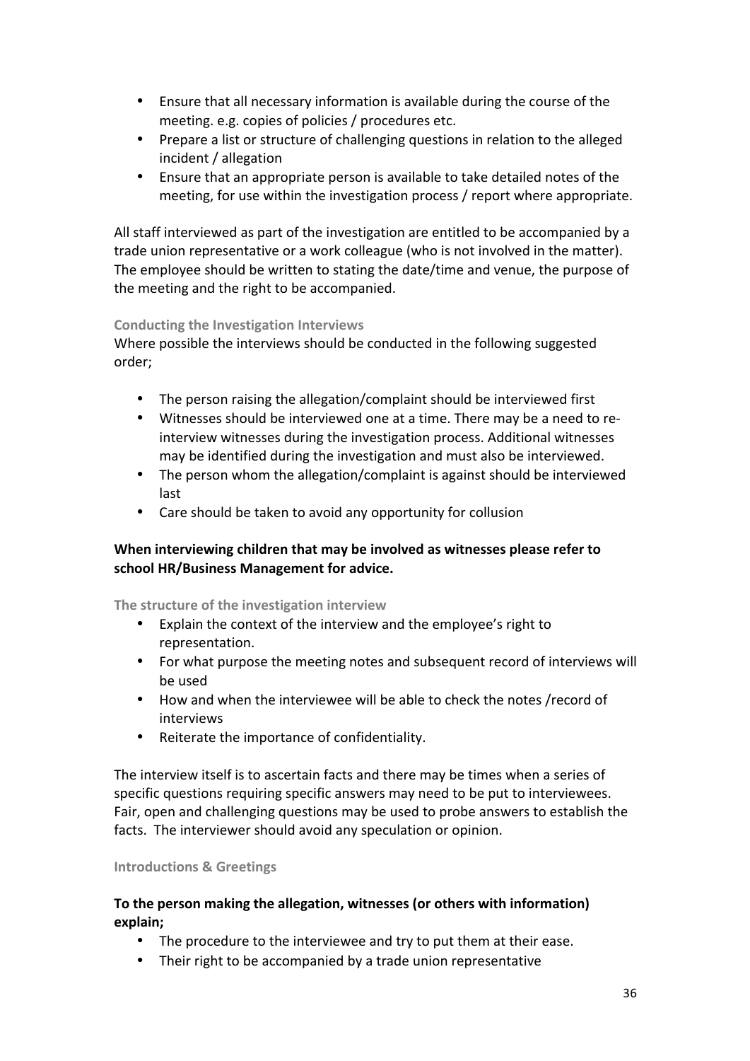- Ensure that all necessary information is available during the course of the meeting. e.g. copies of policies / procedures etc.
- Prepare a list or structure of challenging questions in relation to the alleged incident / allegation
- Ensure that an appropriate person is available to take detailed notes of the meeting, for use within the investigation process / report where appropriate.

All staff interviewed as part of the investigation are entitled to be accompanied by a trade union representative or a work colleague (who is not involved in the matter). The employee should be written to stating the date/time and venue, the purpose of the meeting and the right to be accompanied.

#### **Conducting the Investigation Interviews**

Where possible the interviews should be conducted in the following suggested order;

- The person raising the allegation/complaint should be interviewed first
- Witnesses should be interviewed one at a time. There may be a need to reinterview witnesses during the investigation process. Additional witnesses may be identified during the investigation and must also be interviewed.
- The person whom the allegation/complaint is against should be interviewed last
- Care should be taken to avoid any opportunity for collusion

### When interviewing children that may be involved as witnesses please refer to **school HR/Business Management for advice.**

#### The structure of the investigation interview

- Explain the context of the interview and the employee's right to representation.
- For what purpose the meeting notes and subsequent record of interviews will be used
- How and when the interviewee will be able to check the notes /record of interviews
- Reiterate the importance of confidentiality.

The interview itself is to ascertain facts and there may be times when a series of specific questions requiring specific answers may need to be put to interviewees. Fair, open and challenging questions may be used to probe answers to establish the facts. The interviewer should avoid any speculation or opinion.

#### **Introductions & Greetings**

#### **To the person making the allegation, witnesses (or others with information) explain;**

- The procedure to the interviewee and try to put them at their ease.
- Their right to be accompanied by a trade union representative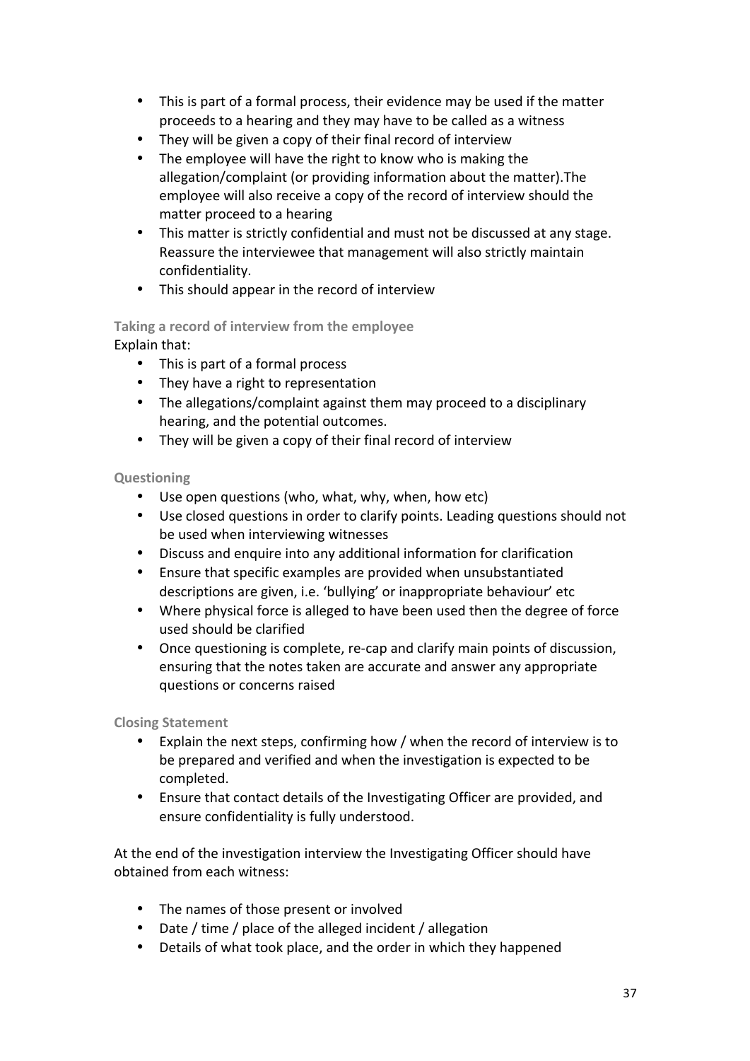- This is part of a formal process, their evidence may be used if the matter proceeds to a hearing and they may have to be called as a witness
- They will be given a copy of their final record of interview
- The employee will have the right to know who is making the allegation/complaint (or providing information about the matter). The employee will also receive a copy of the record of interview should the matter proceed to a hearing
- This matter is strictly confidential and must not be discussed at any stage. Reassure the interviewee that management will also strictly maintain confidentiality.
- This should appear in the record of interview

### Taking a record of interview from the employee Explain that:

- This is part of a formal process
- They have a right to representation
- The allegations/complaint against them may proceed to a disciplinary hearing, and the potential outcomes.
- They will be given a copy of their final record of interview

### **Questioning**

- Use open questions (who, what, why, when, how etc)
- Use closed questions in order to clarify points. Leading questions should not be used when interviewing witnesses
- Discuss and enquire into any additional information for clarification
- Ensure that specific examples are provided when unsubstantiated descriptions are given, i.e. 'bullying' or inappropriate behaviour' etc
- Where physical force is alleged to have been used then the degree of force used should be clarified
- Once questioning is complete, re-cap and clarify main points of discussion, ensuring that the notes taken are accurate and answer any appropriate questions or concerns raised

### **Closing Statement**

- Explain the next steps, confirming how / when the record of interview is to be prepared and verified and when the investigation is expected to be completed.
- Ensure that contact details of the Investigating Officer are provided, and ensure confidentiality is fully understood.

At the end of the investigation interview the Investigating Officer should have obtained from each witness:

- The names of those present or involved
- Date / time / place of the alleged incident / allegation
- Details of what took place, and the order in which they happened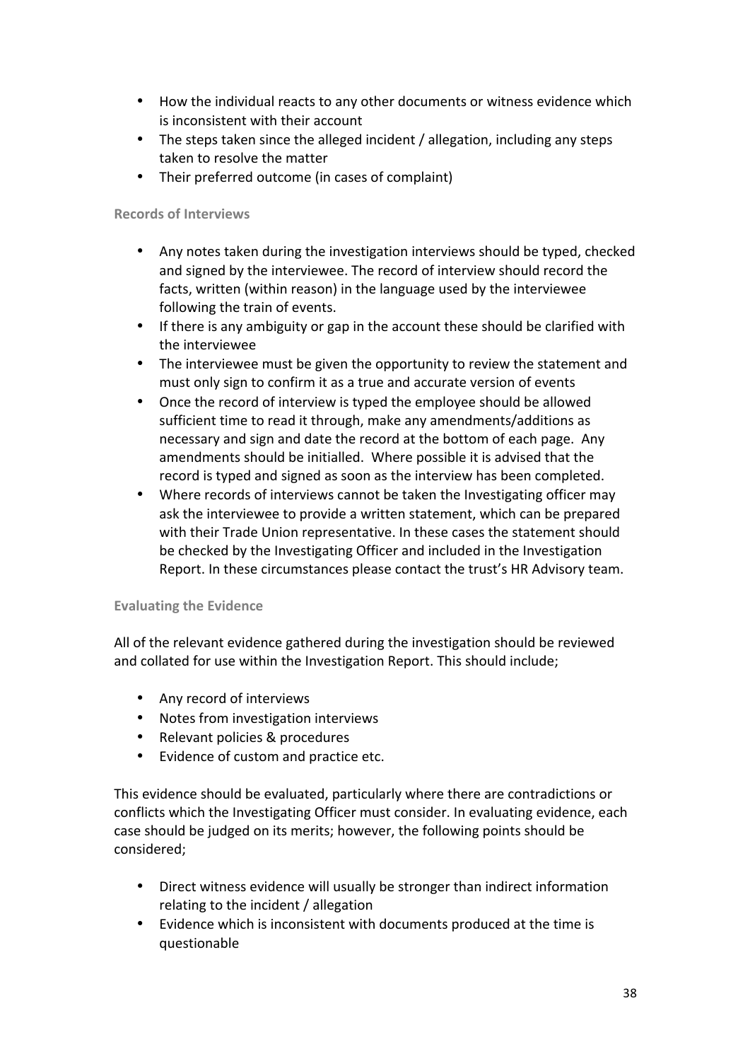- How the individual reacts to any other documents or witness evidence which is inconsistent with their account
- The steps taken since the alleged incident / allegation, including any steps taken to resolve the matter
- Their preferred outcome (in cases of complaint)

#### **Records of Interviews**

- Any notes taken during the investigation interviews should be typed, checked and signed by the interviewee. The record of interview should record the facts, written (within reason) in the language used by the interviewee following the train of events.
- If there is any ambiguity or gap in the account these should be clarified with the interviewee
- The interviewee must be given the opportunity to review the statement and must only sign to confirm it as a true and accurate version of events
- Once the record of interview is typed the employee should be allowed sufficient time to read it through, make any amendments/additions as necessary and sign and date the record at the bottom of each page. Any amendments should be initialled. Where possible it is advised that the record is typed and signed as soon as the interview has been completed.
- Where records of interviews cannot be taken the Investigating officer may ask the interviewee to provide a written statement, which can be prepared with their Trade Union representative. In these cases the statement should be checked by the Investigating Officer and included in the Investigation Report. In these circumstances please contact the trust's HR Advisory team.

#### **Evaluating the Evidence**

All of the relevant evidence gathered during the investigation should be reviewed and collated for use within the Investigation Report. This should include;

- Any record of interviews
- Notes from investigation interviews
- Relevant policies & procedures
- Evidence of custom and practice etc.

This evidence should be evaluated, particularly where there are contradictions or conflicts which the Investigating Officer must consider. In evaluating evidence, each case should be judged on its merits; however, the following points should be considered;

- Direct witness evidence will usually be stronger than indirect information relating to the incident / allegation
- Evidence which is inconsistent with documents produced at the time is questionable